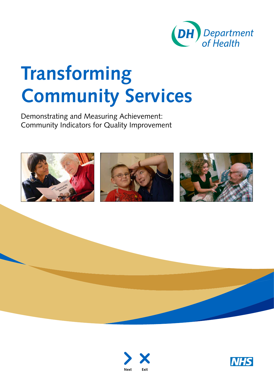

# **Transforming Community Services**

Demonstrating and Measuring Achievement: Community Indicators for Quality Improvement







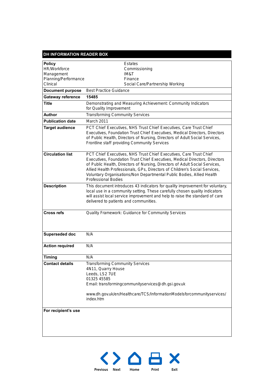| <b>DH INFORMATION READER BOX</b> |                                                                                                                                                                                                                                                                                                                                                                                                                       |
|----------------------------------|-----------------------------------------------------------------------------------------------------------------------------------------------------------------------------------------------------------------------------------------------------------------------------------------------------------------------------------------------------------------------------------------------------------------------|
| <b>Policy</b>                    | <b>Estates</b>                                                                                                                                                                                                                                                                                                                                                                                                        |
| <b>HR/Workforce</b>              | Commissioning                                                                                                                                                                                                                                                                                                                                                                                                         |
| Management                       | <b>IM&amp;T</b>                                                                                                                                                                                                                                                                                                                                                                                                       |
| Planning/Performance             | Finance                                                                                                                                                                                                                                                                                                                                                                                                               |
| Clinical                         | Social Care/Partnership Working                                                                                                                                                                                                                                                                                                                                                                                       |
| <b>Document purpose</b>          | <b>Best Practice Guidance</b>                                                                                                                                                                                                                                                                                                                                                                                         |
| <b>Gateway reference</b>         | 15485                                                                                                                                                                                                                                                                                                                                                                                                                 |
| <b>Title</b>                     | Demonstrating and Measuring Achievement: Community Indicators<br>for Quality Improvement                                                                                                                                                                                                                                                                                                                              |
| <b>Author</b>                    | <b>Transforming Community Services</b>                                                                                                                                                                                                                                                                                                                                                                                |
| <b>Publication date</b>          | March 2011                                                                                                                                                                                                                                                                                                                                                                                                            |
| <b>Target audience</b>           | PCT Chief Executives, NHS Trust Chief Executives, Care Trust Chief<br>Executives, Foundation Trust Chief Executives, Medical Directors, Directors<br>of Public Health, Directors of Nursing, Directors of Adult Social Services,<br>Frontline staff providing Community Services                                                                                                                                      |
| <b>Circulation list</b>          | PCT Chief Executives, NHS Trust Chief Executives, Care Trust Chief<br>Executives, Foundation Trust Chief Executives, Medical Directors, Directors<br>of Public Health, Directors of Nursing, Directors of Adult Social Services,<br>Allied Health Professionals, GPs, Directors of Children's Social Services,<br>Voluntary Organisations/Non Departmental Public Bodies, Allied Health<br><b>Professional Bodies</b> |
| <b>Description</b>               | This document introduces 43 indicators for quality improvement for voluntary,<br>local use in a community setting. These carefully chosen quality indicators<br>will assist local service improvement and help to raise the standard of care<br>delivered to patients and communities.                                                                                                                                |
| <b>Cross refs</b>                | Quality Framework: Guidance for Community Services                                                                                                                                                                                                                                                                                                                                                                    |
| Superseded doc                   | N/A                                                                                                                                                                                                                                                                                                                                                                                                                   |
| <b>Action required</b>           | N/A                                                                                                                                                                                                                                                                                                                                                                                                                   |
| <b>Timing</b>                    | N/A                                                                                                                                                                                                                                                                                                                                                                                                                   |
| <b>Contact details</b>           | <b>Transforming Community Services</b><br>4N11, Quarry House<br>Leeds, LS2 7UE<br>01325 45585<br>Email: transformingcommunityservices@dh.gsi.gov.uk<br>www.dh.gov.uk/en/Healthcare/TCS/InformationModelsforcommunityservices/<br>index.htm                                                                                                                                                                            |
| For recipient's use              |                                                                                                                                                                                                                                                                                                                                                                                                                       |

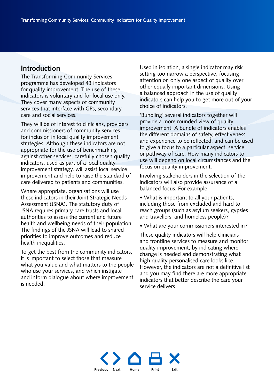#### **Introduction**

The Transforming Community Services programme has developed 43 indicators for quality improvement. The use of these indicators is voluntary and for local use only. They cover many aspects of community services that interface with GPs, secondary care and social services.

They will be of interest to clinicians, providers and commissioners of community services for inclusion in local quality improvement strategies. Although these indicators are not appropriate for the use of benchmarking against other services, carefully chosen quality indicators, used as part of a local quality improvement strategy, will assist local service improvement and help to raise the standard of care delivered to patients and communities.

Where appropriate, organisations will use these indicators in their Joint Strategic Needs Assessment (JSNA). The statutory duty of JSNA requires primary care trusts and local authorities to assess the current and future health and wellbeing needs of their population. The findings of the JSNA will lead to shared priorities to improve outcomes and reduce health inequalities.

To get the best from the community indicators, it is important to select those that measure what you value and what matters to the people who use your services, and which instigate and inform dialogue about where improvement is needed.

Used in isolation, a single indicator may risk setting too narrow a perspective, focusing attention on only one aspect of quality over other equally important dimensions. Using a balanced approach in the use of quality indicators can help you to get more out of your choice of indicators.

'Bundling' several indicators together will provide a more rounded view of quality improvement. A bundle of indicators enables the different domains of safety, effectiveness and experience to be reflected, and can be used to give a focus to a particular aspect, service or pathway of care. How many indicators to use will depend on local circumstances and the focus on quality improvement.

Involving stakeholders in the selection of the indicators will also provide assurance of a balanced focus. For example:

• What is important to all your patients, including those from excluded and hard to reach groups (such as asylum seekers, gypsies and travellers, and homeless people)?

• What are your commissioners interested in?

These quality indicators will help clinicians and frontline services to measure and monitor quality improvement, by indicating where change is needed and demonstrating what high quality personalised care looks like. However, the indicators are not a definitive list and you may find there are more appropriate indicators that better describe the care your service delivers.

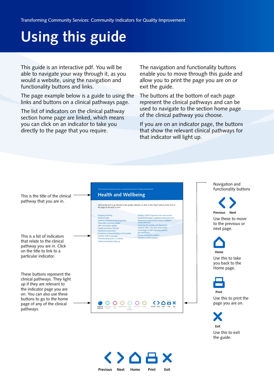# **Using this guide**

This guide is an interactive pdf. You will be able to navigate your way through it, as you would a website, using the navigation and functionality buttons and links.

The page example below is a guide to using the links and buttons on a clinical pathways page.

The list of indicators on the clinical pathway section home page are linked, which means you can click on an indicator to take you directly to the page that you require.

The navigation and functionality buttons enable you to move through this guide and allow you to print the page you are on or exit the guide.

The buttons at the bottom of each page represent the clinical pathways and can be used to navigate to the section home page of the clinical pathway you choose.

If you are on an indicator page, the buttons that show the relevant clinical pathways for that indicator will light up.



**Previous Next [Home](#page-4-0) Print Exit**

Use this to exit the guide.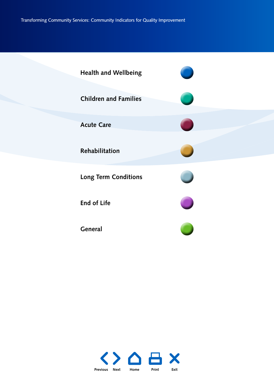<span id="page-4-0"></span>

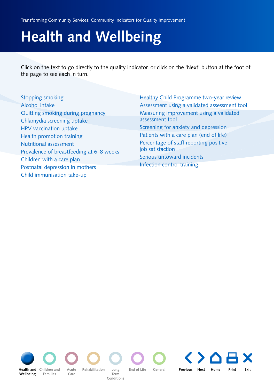<span id="page-5-0"></span>Transforming Community Services: Community Indicators for Quality Improvement

# **Health and Wellbeing**

Click on the text to go directly to the quality indicator, or click on the 'Next' button at the foot of the page to see each in turn.

| <b>Stopping smoking</b>                  | Healthy Child Programme two-year review      |  |
|------------------------------------------|----------------------------------------------|--|
| Alcohol intake                           | Assessment using a validated assessment tool |  |
| Quitting smoking during pregnancy        | Measuring improvement using a validated      |  |
| Chlamydia screening uptake               | assessment tool                              |  |
| HPV vaccination uptake                   | Screening for anxiety and depression         |  |
| Health promotion training                | Patients with a care plan (end of life)      |  |
| Nutritional assessment                   | Percentage of staff reporting positive       |  |
| Prevalence of breastfeeding at 6–8 weeks | job satisfaction                             |  |
| Children with a care plan                | Serious untoward incidents                   |  |
| Postnatal depression in mothers          | Infection control training                   |  |
| Child immunisation take-up               |                                              |  |

**Wellbeing**

**Families Health and** Children and

**Acute Care**

**Term Conditions**

**Rehabilitation** 

LongEnd of Life General **Previous Next [Home](#page-4-0) Print Exit**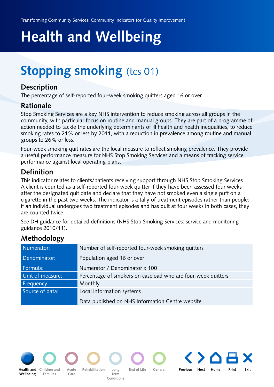## <span id="page-6-0"></span>**Stopping smoking** (tcs 01)

#### **Description**

The percentage of self-reported four-week smoking quitters aged 16 or over.

#### **Rationale**

Stop Smoking Services are a key NHS intervention to reduce smoking across all groups in the community, with particular focus on routine and manual groups. They are part of a programme of action needed to tackle the underlying determinants of ill health and health inequalities, to reduce smoking rates to 21% or less by 2011, with a reduction in prevalence among routine and manual groups to 26% or less.

Four-week smoking quit rates are the local measure to reflect smoking prevalence. They provide a useful performance measure for NHS Stop Smoking Services and a means of tracking service performance against local operating plans.

#### **Definition**

This indicator relates to clients/patients receiving support through NHS Stop Smoking Services. A client is counted as a self-reported four-week quitter if they have been assessed four weeks after the designated quit date and declare that they have not smoked even a single puff on a cigarette in the past two weeks. The indicator is a tally of treatment episodes rather than people: if an individual undergoes two treatment episodes and has quit at four weeks in both cases, they are counted twice.

See DH guidance for detailed definitions (NHS Stop Smoking Services: service and monitoring guidance 2010/11).

### **Methodology**

| Numerator:       | Number of self-reported four-week smoking quitters           |
|------------------|--------------------------------------------------------------|
| Denominator:     | Population aged 16 or over                                   |
| Formula:         | Numerator / Denominator x 100                                |
| Unit of measure: | Percentage of smokers on caseload who are four-week quitters |
| Frequency:       | Monthly                                                      |
| Source of data:  | Local information systems                                    |
|                  | Data published on NHS Information Centre website             |



**[Health and](#page-5-0) Children and Wellbeing**

**Families**

**Acute Care Rehabilitation Long** 

**Term Conditions** **End of Life General**

**[Children and](#page-13-0) Previous Next [Home](#page-4-0) Print Exit**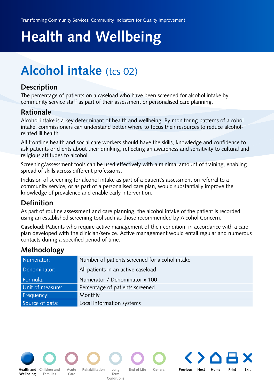## <span id="page-7-0"></span>**Alcohol intake** (tcs 02)

#### **Description**

The percentage of patients on a caseload who have been screened for alcohol intake by community service staff as part of their assessment or personalised care planning.

#### **Rationale**

Alcohol intake is a key determinant of health and wellbeing. By monitoring patterns of alcohol intake, commissioners can understand better where to focus their resources to reduce alcoholrelated ill health.

All frontline health and social care workers should have the skills, knowledge and confidence to ask patients or clients about their drinking, reflecting an awareness and sensitivity to cultural and religious attitudes to alcohol.

Screening/assessment tools can be used effectively with a minimal amount of training, enabling spread of skills across different professions.

Inclusion of screening for alcohol intake as part of a patient's assessment on referral to a community service, or as part of a personalised care plan, would substantially improve the knowledge of prevalence and enable early intervention.

### **Definition**

As part of routine assessment and care planning, the alcohol intake of the patient is recorded using an established screening tool such as those recommended by [Alcohol Concern.](http://www.alcoholconcern.org.uk/)

**Caseload**: Patients who require active management of their condition, in accordance with a care plan developed with the clinician/service. Active management would entail regular and numerous contacts during a specified period of time.

### **Methodology**

| Numerator:       | Number of patients screened for alcohol intake |
|------------------|------------------------------------------------|
| Denominator:     | All patients in an active caseload             |
| Formula:         | Numerator / Denominator x 100                  |
| Unit of measure: | Percentage of patients screened                |
| Frequency:       | Monthly                                        |
| Source of data:  | Local information systems                      |



**[Health and](#page-5-0) Children and Acute Rehabilitation Long End of Life General Wellbeing**

**Families Acute Care**

**Term Conditions**

**Rehabilitation Long** 

**[Children and](#page-13-0) Previous Next [Home](#page-4-0) Print Exit**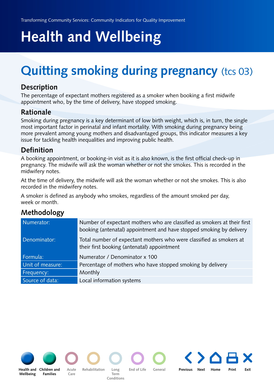## <span id="page-8-0"></span>**Quitting smoking during pregnancy (tcs 03)**

#### **Description**

The percentage of expectant mothers registered as a smoker when booking a first midwife appointment who, by the time of delivery, have stopped smoking.

#### **Rationale**

Smoking during pregnancy is a key determinant of low birth weight, which is, in turn, the single most important factor in perinatal and infant mortality. With smoking during pregnancy being more prevalent among young mothers and disadvantaged groups, this indicator measures a key issue for tackling health inequalities and improving public health.

#### **Definition**

A booking appointment, or booking-in visit as it is also known, is the first official check-up in pregnancy. The midwife will ask the woman whether or not she smokes. This is recorded in the midwifery notes.

At the time of delivery, the midwife will ask the woman whether or not she smokes. This is also recorded in the midwifery notes.

A smoker is defined as anybody who smokes, regardless of the amount smoked per day, week or month.

### **Methodology**

| Numerator:       | Number of expectant mothers who are classified as smokers at their first<br>booking (antenatal) appointment and have stopped smoking by delivery |
|------------------|--------------------------------------------------------------------------------------------------------------------------------------------------|
| Denominator:     | Total number of expectant mothers who were classified as smokers at<br>their first booking (antenatal) appointment                               |
| Formula:         | Numerator / Denominator x 100                                                                                                                    |
| Unit of measure: | Percentage of mothers who have stopped smoking by delivery                                                                                       |
| Frequency:       | Monthly                                                                                                                                          |
| Source of data:  | Local information systems                                                                                                                        |





**Children and Acute** Rehabilitation Long End of Life General **Families**

**Care**

**Term Conditions**

**Acute Previous Next [Home](#page-4-0) Print Exit**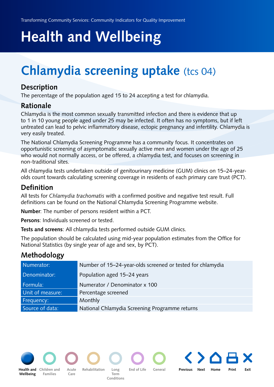## <span id="page-9-0"></span>**Chlamydia screening uptake** (tcs 04)

#### **Description**

The percentage of the population aged 15 to 24 accepting a test for chlamydia.

#### **Rationale**

Chlamydia is the most common sexually transmitted infection and there is evidence that up to 1 in 10 young people aged under 25 may be infected. It often has no symptoms, but if left untreated can lead to pelvic inflammatory disease, ectopic pregnancy and infertility. Chlamydia is very easily treated.

The National Chlamydia Screening Programme has a community focus. It concentrates on opportunistic screening of asymptomatic sexually active men and women under the age of 25 who would not normally access, or be offered, a chlamydia test, and focuses on screening in non-traditional sites.

All chlamydia tests undertaken outside of genitourinary medicine (GUM) clinics on 15–24-yearolds count towards calculating screening coverage in residents of each primary care trust (PCT).

#### **Definition**

All tests for *Chlamydia trachomatis* with a confirmed positive and negative test result. Full definitions can be found on the [National Chlamydia Screening Programme](http://www.chlamydiascreening.nhs.uk/) website.

**Number**: The number of persons resident within a PCT.

**Persons**: Individuals screened or tested.

**Tests and screens**: All chlamydia tests performed outside GUM clinics.

The population should be calculated using mid-year population estimates from the Office for National Statistics (by single year of age and sex, by PCT).

### **Methodology**

| Numerator:       | Number of 15-24-year-olds screened or tested for chlamydia |
|------------------|------------------------------------------------------------|
| Denominator:     | Population aged 15–24 years                                |
| Formula:         | Numerator / Denominator x 100                              |
| Unit of measure: | Percentage screened                                        |
| Frequency:       | Monthly                                                    |
| Source of data:  | National Chlamydia Screening Programme returns             |



**[Health and](#page-5-0) Children and Acute Rehabilitation Long End of Life General Wellbeing**

**Families Acute Care**

**Rehabilitation Long Term Conditions**

**Children an[d](#page-30-0) Previous Next [Home](#page-4-0) Print Exit**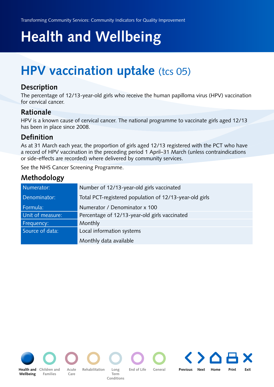## <span id="page-10-0"></span>**HPV vaccination uptake** (tcs 05)

#### **Description**

The percentage of 12/13-year-old girls who receive the human papilloma virus (HPV) vaccination for cervical cancer.

#### **Rationale**

HPV is a known cause of cervical cancer. The national programme to vaccinate girls aged 12/13 has been in place since 2008.

#### **Definition**

As at 31 March each year, the proportion of girls aged 12/13 registered with the PCT who have a record of HPV vaccination in the preceding period 1 April–31 March (unless contraindications or side-effects are recorded) where delivered by community services.

See the [NHS Cancer Screening Programme.](http://www.cancerscreening.nhs.uk/cervical/hpv.html)

| Numerator:       | Number of 12/13-year-old girls vaccinated               |
|------------------|---------------------------------------------------------|
| Denominator:     | Total PCT-registered population of 12/13-year-old girls |
| Formula:         | Numerator / Denominator x 100                           |
| Unit of measure: | Percentage of 12/13-year-old girls vaccinated           |
| Frequency:       | Monthly                                                 |
| Source of data:  | Local information systems                               |
|                  | Monthly data available                                  |

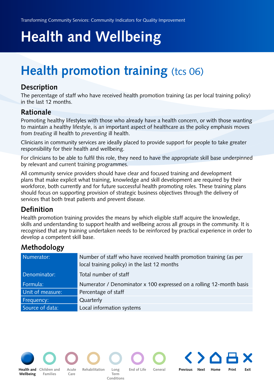## <span id="page-11-0"></span>**Health promotion training (tcs 06)**

#### **Description**

The percentage of staff who have received health promotion training (as per local training policy) in the last 12 months.

#### **Rationale**

Promoting healthy lifestyles with those who already have a health concern, or with those wanting to maintain a healthy lifestyle, is an important aspect of healthcare as the policy emphasis moves from *treating* ill health to *preventing* ill health.

Clinicians in community services are ideally placed to provide support for people to take greater responsibility for their health and wellbeing.

For clinicians to be able to fulfil this role, they need to have the appropriate skill base underpinned by relevant and current training programmes.

All community service providers should have clear and focused training and development plans that make explicit what training, knowledge and skill development are required by their workforce, both currently and for future successful health promoting roles. These training plans should focus on supporting provision of strategic business objectives through the delivery of services that both treat patients and prevent disease.

#### **Definition**

Health promotion training provides the means by which eligible staff acquire the knowledge, skills and understanding to support health and wellbeing across all groups in the community. It is recognised that any training undertaken needs to be reinforced by practical experience in order to develop a competent skill base.

#### **Methodology**

| Numerator:       | Number of staff who have received health promotion training (as per<br>local training policy) in the last 12 months |
|------------------|---------------------------------------------------------------------------------------------------------------------|
| Denominator:     | Total number of staff                                                                                               |
| Formula:         | Numerator / Denominator x 100 expressed on a rolling 12-month basis                                                 |
| Unit of measure: | Percentage of staff                                                                                                 |
| Frequency:       | Quarterly                                                                                                           |
| Source of data:  | Local information systems                                                                                           |



**Wellbeing**

**Families**

**Acute Care**

**Rehabilitation Long Conditions**

**Term** 

**[Health and](#page-5-0) Children and Acute Rehabilitation Long End of Life General** 

**Children an[d](#page-30-0) Previous Next [Home](#page-4-0) Print Exit**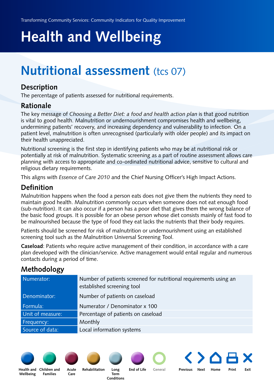### <span id="page-12-0"></span>**Nutritional assessment** (tcs 07)

#### **Description**

The percentage of patients assessed for nutritional requirements.

#### **Rationale**

The key message of *[Choosing a Better Diet: a food and health action plan](http://www.dh.gov.uk/en/Publicationsandstatistics/Publications/PublicationsPolicyAndGuidance/DH_4105356)* is that good nutrition is vital to good health. Malnutrition or undernourishment compromises health and wellbeing, undermining patients' recovery, and increasing dependency and vulnerability to infection. On a patient level, malnutrition is often unrecognised (particularly with older people) and its impact on their health unappreciated.

Nutritional screening is the first step in identifying patients who may be at nutritional risk or potentially at risk of malnutrition. Systematic screening as a part of routine assessment allows care planning with access to appropriate and co-ordinated nutritional advice, sensitive to cultural and religious dietary requirements.

This aligns with *[Essence of Care 2010](http://www.dh.gov.uk/en/Publichealth/Patientsafety/Clinicalgovernance/DH_082929)* and the Chief Nursing Officer's [High Impact Actions.](http://www.institute.nhs.uk/building_capability/general/aims/)

#### **Definition**

Malnutrition happens when the food a person eats does not give them the nutrients they need to maintain good health. Malnutrition commonly occurs when someone does not eat enough food (sub-nutrition). It can also occur if a person has a poor diet that gives them the wrong balance of the basic food groups. It is possible for an obese person whose diet consists mainly of fast food to be malnourished because the type of food they eat lacks the nutrients that their body requires.

Patients should be screened for risk of malnutrition or undernourishment using an established screening tool such as the [Malnutrition Universal Screening Tool](http://www.bapen.org.uk/musttoolkit.html).

**Caseload**: Patients who require active management of their condition, in accordance with a care plan developed with the clinician/service. Active management would entail regular and numerous contacts during a period of time.

### **Methodology**

| Numerator:       | Number of patients screened for nutritional requirements using an<br>established screening tool |
|------------------|-------------------------------------------------------------------------------------------------|
| Denominator:     | Number of patients on caseload                                                                  |
| Formula:         | Numerator / Denominator x 100                                                                   |
| Unit of measure: | Percentage of patients on caseload                                                              |
| Frequency:       | Monthly                                                                                         |
| Source of data:  | Local information systems                                                                       |







**Rehabilitation Long** 



**[Health and](#page-5-0) Children and Acute Rehabilitation Long End of Life [General](#page-54-0) Previous Next [Home](#page-4-0) Print Exit** 

**Wellbeing**

**Families Acute Care**

**Term Conditions**

**End of Life**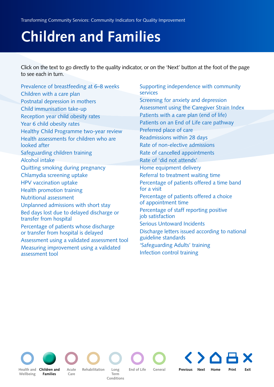# <span id="page-13-0"></span>**Children and Families**

Click on the text to go directly to the quality indicator, or on the 'Next' button at the foot of the page to see each in turn.

[Prevalence of breastfeeding at 6–8 weeks](#page-14-0) [Children with a care plan](#page-16-0) [Postnatal depression in mothers](#page-17-0) [Child immunisation take-up](#page-19-0) [Reception year child obesity rates](#page-21-0) [Year 6 child obesity rates](#page-23-0) [Healthy Child Programme two-year review](#page-25-0) [Health assessments for children who are](#page-27-0)  looked after [Safeguarding children training](#page-29-0) [Alcohol intake](#page-7-0) [Quitting smoking during pregnancy](#page-8-0) [Chlamydia screening uptake](#page-9-0) [HPV vaccination uptake](#page-10-0) [Health promotion training](#page-11-0) [Nutritional assessment](#page-12-0) [Unplanned admissions with short stay](#page-33-0) [Bed days lost due to delayed discharge or](#page-34-0) transfer from hospital [Percentage of patients whose discharge](#page-35-0)  or transfer from hospital is delayed [Assessment using a validated assessment tool](#page-39-0) [Measuring improvement using a validated](#page-41-0)  assessment tool

[Supporting independence with community](#page-43-0) services [Screening for anxiety and depression](#page-46-0) [Assessment using the Caregiver Strain Index](#page-48-0) [Patients with a care plan \(end of life\)](#page-51-0) [Patients on an End of Life care pathway](#page-52-0) [Preferred place of care](#page-53-0) [Readmissions within 28 days](#page-55-0) [Rate of non-elective admissions](#page-56-0) [Rate of cancelled appointments](#page-57-0) [Rate of 'did not attends'](#page-58-0) [Home equipment delivery](#page-59-0) [Referral to treatment waiting time](#page-61-0) [Percentage of patients offered a time band](#page-62-0)  for a visit [Percentage of patients offered a choice](#page-63-0)  of appointment time [Percentage of staff reporting positive](#page-64-0)  job satisfaction [Serious Untoward Incidents](#page-66-0) [Discharge letters issued according to national](#page-67-0) guideline standards ['Safeguarding Adults' training](#page-69-0) [Infection control training](#page-70-0)

**[Health and](#page-5-0)  Wellbeing**

**Care Rehabilitation Long Children andEnd of Life General Families**

**Term Conditions**

**Acute Previous Next [Home](#page-4-0) Print Exit**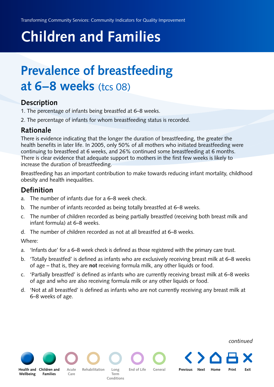# <span id="page-14-0"></span>**Children and Families**

## **Prevalence of breastfeeding at 6–8 weeks** (tcs 08)

#### **Description**

- 1. The percentage of infants being breastfed at 6–8 weeks.
- 2. The percentage of infants for whom breastfeeding status is recorded.

#### **Rationale**

There is evidence indicating that the longer the duration of breastfeeding, the greater the health benefits in later life. In 2005, only 50% of all mothers who initiated breastfeeding were continuing to breastfeed at 6 weeks, and 26% continued some breastfeeding at 6 months. There is clear evidence that adequate support to mothers in the first few weeks is likely to increase the duration of breastfeeding.

Breastfeeding has an important contribution to make towards reducing infant mortality, childhood obesity and health inequalities.

#### **Definition**

- a. The number of infants due for a 6–8 week check.
- b. The number of infants recorded as being totally breastfed at 6–8 weeks.
- c. The number of children recorded as being partially breastfed (receiving both breast milk and infant formula) at 6–8 weeks.
- d. The number of children recorded as not at all breastfed at 6–8 weeks.

Where:

- a. 'Infants due' for a 6–8 week check is defined as those registered with the primary care trust.
- b. 'Totally breastfed' is defined as infants who are exclusively receiving breast milk at 6–8 weeks of age – that is, they are **not** receiving formula milk, any other liquids or food.
- c. 'Partially breastfed' is defined as infants who are currently receiving breast milk at 6–8 weeks of age and who are also receiving formula milk or any other liquids or food.
- d. 'Not at all breastfed' is defined as infants who are not currently receiving any breast milk at 6–8 weeks of age.

**Wellbeing**

**Care Families**

**Rehabilitation Long** 

**Term Conditions**

**Health and [Children and](#page-13-0)**Acute Rehabilitation Long End of Life General

**Acute Previous Next [Home](#page-4-0) Print Exit**

*continued*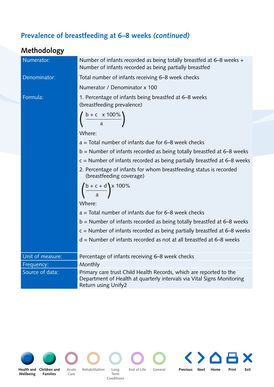#### **Prevalence of breastfeeding at 6–8 weeks** *(continued)*

### **Methodology** Numerator: Number of infants recorded as being totally breastfed at 6–8 weeks + Number of infants recorded as being partially breastfed Denominator: Total number of infants receiving 6–8 week checks Numerator / Denominator x 100 Formula: 1. Percentage of infants being breastfed at 6–8 weeks (breastfeeding prevalence)  $rac{b + c \times 100\%}{a}$ Where:  $a =$  Total number of infants due for 6–8 week checks b = Number of infants recorded as being totally breastfed at 6–8 weeks  $c =$  Number of infants recorded as being partially breastfed at 6–8 weeks 2. Percentage of infants for whom breastfeeding status is recorded (breastfeeding coverage)  $b + c + d$  x 100% Where: a = Total number of infants due for 6–8 week checks b = Number of infants recorded as being totally breastfed at 6–8 weeks c = Number of infants recorded as being partially br eastfed at 6–8 weeks d = Number of infants recorded as not at all breastfed at 6–8 weeks Unit of measure: **Percentage of infants receiving 6–8 week checks** Frequency: **Monthly** Source of data: Primary care trust Child Health Records, which are reported to the Department of Health at quarterly intervals via Vital Signs Monitoring Return using [Unify2](https://mqi.ic.nhs.uk/IndicatorDefaultView.aspx?ref=1.06.02)





**Families**

**Acute Care**

**Term Conditions**

**Rehabilitation Long** 

**End of Life General**

**[Children and](#page-13-0) Previous Next [Home](#page-4-0) Print Exit**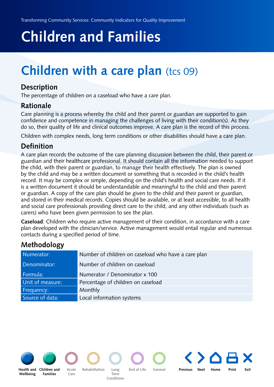# <span id="page-16-0"></span>**Children and Families**

## **Children with a care plan** (tcs 09)

#### **Description**

The percentage of children on a caseload who have a care plan.

#### **Rationale**

Care planning is a process whereby the child and their parent or guardian are supported to gain confidence and competence in managing the challenges of living with their condition(s). As they do so, their quality of life and clinical outcomes improve. A care plan is the record of this process.

Children with complex needs, long term conditions or other disabilities should have a care plan.

#### **Definition**

A care plan records the outcome of the care planning discussion between the child, their parent or guardian and their healthcare professional. It should contain all the information needed to support the child, with their parent or guardian, to manage their health effectively. The plan is owned by the child and may be a written document or something that is recorded in the child's health record. It may be complex or simple, depending on the child's health and social care needs. If it is a written document it should be understandable and meaningful to the child and their parent or guardian. A copy of the care plan should be given to the child and their parent or guardian, and stored in their medical records. Copies should be available, or at least accessible, to all health and social care professionals providing direct care to the child, and any other individuals (such as carers) who have been given permission to see the plan.

**Caseload**: Children who require active management of their condition, in accordance with a care plan developed with the clinician/service. Active management would entail regular and numerous contacts during a specified period of time.

### **Methodology**

| Numerator:       | Number of children on caseload who have a care plan |
|------------------|-----------------------------------------------------|
| Denominator:     | Number of children on caseload                      |
| Formula:         | Numerator / Denominator x 100                       |
| Unit of measure: | Percentage of children on caseload                  |
| Frequency:       | Monthly                                             |
| Source of data:  | Local information systems                           |

**Wellbeing**

**[Health and](#page-5-0) Children and** Acute Rehabilitation Long End of Life General **Families**

**Care Rehabilitation Long** 

**Term Conditions**

**Acute Previous Next [Home](#page-4-0) Print Exit**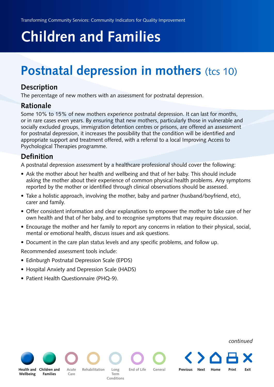# <span id="page-17-0"></span>**Children and Families**

## **Postnatal depression in mothers (tcs 10)**

#### **Description**

The percentage of new mothers with an assessment for postnatal depression.

#### **Rationale**

Some 10% to 15% of new mothers experience postnatal depression. It can last for months, or in rare cases even years. By ensuring that new mothers, particularly those in vulnerable and socially excluded groups, immigration detention centres or prisons, are offered an assessment for postnatal depression, it increases the possibility that the condition will be identified and appropriate support and treatment offered, with a referral to a local Improving Access to Psychological Therapies programme.

#### **Definition**

A postnatal depression assessment by a healthcare professional should cover the following:

- Ask the mother about her health and wellbeing and that of her baby. This should include asking the mother about their experience of common physical health problems. Any symptoms reported by the mother or identified through clinical observations should be assessed.
- Take a holistic approach, involving the mother, baby and partner (husband/boyfriend, etc), carer and family.
- Offer consistent information and clear explanations to empower the mother to take care of her own health and that of her baby, and to recognise symptoms that may require discussion.
- Encourage the mother and her family to report any concerns in relation to their physical, social, mental or emotional health, discuss issues and ask questions.

**Acute Previous Next [Home](#page-4-0) Print Exit**

• Document in the care plan status levels and any specific problems, and follow up.

Recommended assessment tools include:

- Edinburgh Postnatal Depression Scale (EPDS)
- Hospital Anxiety and Depression Scale (HADS)
- Patient Health Questionnaire (PHQ-9).

**Care**

**Wellbeing**

**Families**

**Rehabilitation Long** 

**[Health and](#page-5-0) Children and** Acute Rehabilitation Long End of Life General

**Term Conditions** *continued*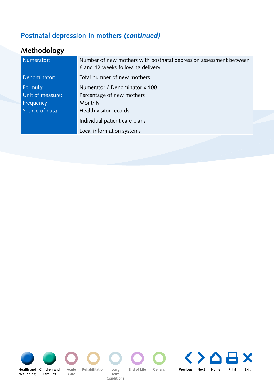### **Postnatal depression in mothers** *(continued)*

| Numerator:       | Number of new mothers with postnatal depression assessment between<br>6 and 12 weeks following delivery |
|------------------|---------------------------------------------------------------------------------------------------------|
| Denominator:     | Total number of new mothers                                                                             |
| Formula:         | Numerator / Denominator x 100                                                                           |
| Unit of measure: | Percentage of new mothers                                                                               |
| Frequency:       | Monthly                                                                                                 |
| Source of data:  | Health visitor records                                                                                  |
|                  | Individual patient care plans                                                                           |
|                  | Local information systems                                                                               |
|                  |                                                                                                         |

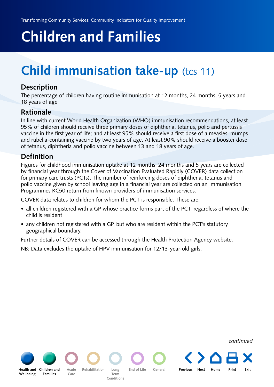# <span id="page-19-0"></span>**Children and Families**

## **Child immunisation take-up** (tcs 11)

#### **Description**

The percentage of children having routine immunisation at 12 months, 24 months, 5 years and 18 years of age.

#### **Rationale**

In line with current World Health Organization (WHO) immunisation recommendations, at least 95% of children should receive three primary doses of diphtheria, tetanus, polio and pertussis vaccine in the first year of life; and at least 95% should receive a first dose of a measles, mumps and rubella-containing vaccine by two years of age. At least 90% should receive a booster dose of tetanus, diphtheria and polio vaccine between 13 and 18 years of age.

#### **Definition**

Figures for childhood immunisation uptake at 12 months, 24 months and 5 years are collected by financial year through the Cover of Vaccination Evaluated Rapidly (COVER) data collection for primary care trusts (PCTs). The number of reinforcing doses of diphtheria, tetanus and polio vaccine given by school leaving age in a financial year are collected on an Immunisation Programmes KC50 return from known providers of immunisation services.

COVER data relates to children for whom the PCT is responsible. These are:

- all children registered with a GP whose practice forms part of the PCT, regardless of where the child is resident
- any children not registered with a GP, but who are resident within the PCT's statutory geographical boundary.

Further details of COVER can be accessed through the [Health Protection Agency](http://www.hpa.org.uk/HPA/Topics/InfectiousDiseases/InfectionsAZ/1204031507699/) website.

NB: Data excludes the uptake of HPV immunisation for 12/13-year-old girls.



*continued*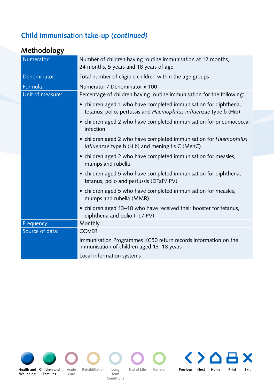### **Child immunisation take-up** *(continued)*

### **Methodology**

| Numerator:       | Number of children having routine immunisation at 12 months,<br>24 months, 5 years and 18 years of age.                                |
|------------------|----------------------------------------------------------------------------------------------------------------------------------------|
| Denominator:     | Total number of eligible children within the age groups                                                                                |
| Formula:         | Numerator / Denominator x 100                                                                                                          |
| Unit of measure: | Percentage of children having routine immunisation for the following:                                                                  |
|                  | • children aged 1 who have completed immunisation for diphtheria,<br>tetanus, polio, pertussis and Haemophilus influenzae type b (Hib) |
|                  | • children aged 2 who have completed immunisation for pneumococcal<br>infection                                                        |
|                  | • children aged 2 who have completed immunisation for Haemophilus<br>influenzae type b (Hib) and meningitis C (MenC)                   |
|                  | • children aged 2 who have completed immunisation for measles,<br>mumps and rubella                                                    |
|                  | • children aged 5 who have completed immunisation for diphtheria,<br>tetanus, polio and pertussis (DTaP/IPV)                           |
|                  | • children aged 5 who have completed immunisation for measles,<br>mumps and rubella (MMR)                                              |
|                  | • children aged 13-18 who have received their booster for tetanus,<br>diphtheria and polio (Td/IPV)                                    |
| Frequency:       | Monthly                                                                                                                                |
| Source of data:  | <b>COVER</b>                                                                                                                           |
|                  | Immunisation Programmes KC50 return records information on the<br>immunisation of children aged 13-18 years                            |
|                  | Local information systems                                                                                                              |



**Wellbeing**

**Care [Health and](#page-5-0) Children and** Acute Rehabilitation Long End of Life General **Families**

**Rehabilitation Long Term Conditions**

**Acute Previous Next [Home](#page-4-0) Print Exit**

 $\blacktriangle$ 

X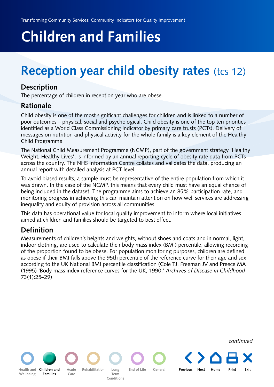# <span id="page-21-0"></span>**Children and Families**

## **Reception year child obesity rates (tcs 12)**

#### **Description**

The percentage of children in reception year who are obese.

#### **Rationale**

Child obesity is one of the most significant challenges for children and is linked to a number of poor outcomes – physical, social and psychological. Child obesity is one of the top ten priorities identified as a World Class Commissioning indicator by primary care trusts (PCTs). Delivery of [messages on nutrition and physical activity for the whole family is a key element of the Healthy](http://www.dh.gov.uk/en/Publicationsandstatistics/Publications/PublicationsPolicyAndGuidance/DH_107566) Child Programme.

The National Child Measurement Programme (NCMP), part of the government strategy 'Healthy Weight, Healthy Lives', is informed by an annual reporting cycle of obesity rate data from PCTs across the country. The [NHS Information Centre](http://www.ic.nhs.uk/statistics-and-data-collections/health-and-lifestyles/obesity/national-child-measurement-programme-england-2009-10-school-year) collates and validates the data, producing an annual report with detailed analysis at PCT level.

To avoid biased results, a sample must be representative of the entire population from which it was drawn. In the case of the NCMP, this means that every child must have an equal chance of being included in the dataset. The programme aims to achieve an 85% participation rate, and monitoring progress in achieving this can maintain attention on how well services are addressing inequality and equity of provision across all communities.

This data has operational value for local quality improvement to inform where local initiatives aimed at children and families should be targeted to best effect.

#### **Definition**

Measurements of children's heights and weights, without shoes and coats and in normal, light, indoor clothing, are used to calculate their body mass index (BMI) percentile, allowing recording of the proportion found to be obese. For population monitoring purposes, children are defined as obese if their BMI falls above the 95th percentile of the reference curve for their age and sex according to the UK National BMI percentile classification (Cole TJ, Freeman JV and Preece MA (1995) 'Body mass index reference curves for the UK, 1990.' *Archives of Disease in Childhood* 73(1):25–29).

**[Health and](#page-5-0)  Wellbeing [Children and](#page-13-0) Previous Next [Home](#page-4-0) Print Exit Families Acute Care Rehabilitation Long Term Conditions End of Life General** *continued*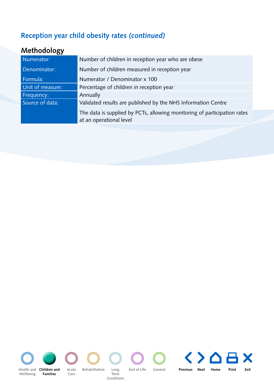### **Reception year child obesity rates** *(continued)*

| Number of children in reception year who are obese                                                  |  |
|-----------------------------------------------------------------------------------------------------|--|
| Number of children measured in reception year                                                       |  |
| Numerator / Denominator x 100                                                                       |  |
| Percentage of children in reception year                                                            |  |
| Annually                                                                                            |  |
| Validated results are published by the NHS Information Centre                                       |  |
| The data is supplied by PCTs, allowing monitoring of participation rates<br>at an operational level |  |
|                                                                                                     |  |

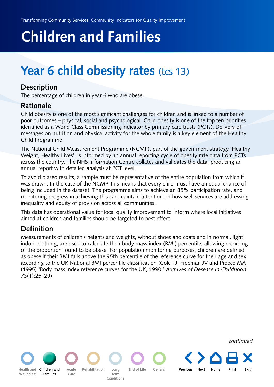# <span id="page-23-0"></span>**Children and Families**

## Year 6 child obesity rates (tcs 13)

#### **Description**

The percentage of children in year 6 who are obese.

#### **Rationale**

Child obesity is one of the most significant challenges for children and is linked to a number of poor outcomes – physical, social and psychological. Child obesity is one of the top ten priorities identified as a [World Class Commissioning](http://www.ic.nhs.uk/statistics-and-data-collections/health-and-lifestyles/obesity/national-child-measurement-programme-england-2009-10-school-year) indicator by primary care trusts (PCTs). Delivery of [messages on nutrition and physical activity for the whole family is a key element of the Healthy](http://www.dh.gov.uk/en/Publicationsandstatistics/Publications/PublicationsPolicyAndGuidance/DH_107566) Child Programme.

The National Child Measurement Programme (NCMP), part of the government strategy 'Healthy Weight, Healthy Lives', is informed by an annual reporting cycle of obesity rate data from PCTs across the country. The NHS Information Centre collates and validates the data, producing an annual report with detailed analysis at PCT level.

To avoid biased results, a sample must be representative of the entire population from which it was drawn. In the case of the NCMP, this means that every child must have an equal chance of being included in the dataset. The programme aims to achieve an 85% participation rate, and monitoring progress in achieving this can maintain attention on how well services are addressing inequality and equity of provision across all communities.

This data has operational value for local quality improvement to inform where local initiatives aimed at children and families should be targeted to best effect.

### **Definition**

Measurements of children's heights and weights, without shoes and coats and in normal, light, indoor clothing, are used to calculate their body mass index (BMI) percentile, allowing recording of the proportion found to be obese. For population monitoring purposes, children are defined as obese if their BMI falls above the 95th percentile of the reference curve for their age and sex according to the UK National BMI percentile classification (Cole TJ, Freeman JV and Preece MA (1995) 'Body mass index reference curves for the UK, 1990.' *Archives of Desease in Childhood* 73(1):25–29).

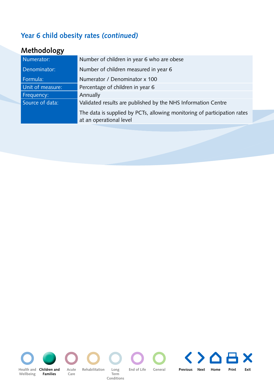### **Year 6 child obesity rates** *(continued)*

| Numerator:       | Number of children in year 6 who are obese                               |  |
|------------------|--------------------------------------------------------------------------|--|
| Denominator:     | Number of children measured in year 6                                    |  |
| Formula:         | Numerator / Denominator x 100                                            |  |
| Unit of measure: | Percentage of children in year 6                                         |  |
| Frequency:       | Annually                                                                 |  |
| Source of data:  | Validated results are published by the NHS Information Centre            |  |
|                  | The data is supplied by PCTs, allowing monitoring of participation rates |  |
|                  | at an operational level                                                  |  |

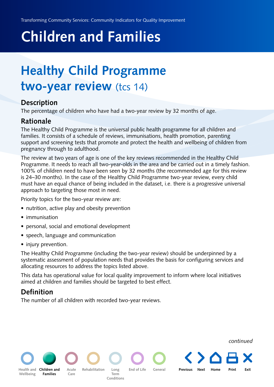# <span id="page-25-0"></span>**Children and Families**

## **Healthy Child Programme two-year review** (tcs 14)

#### **Description**

The percentage of children who have had a two-year review by 32 months of age.

#### **Rationale**

The [Healthy Child Programme](http://www.dh.gov.uk/en/Healthcare/Children/Maternity/DH_081642) is the universal public health programme for all children and families. It consists of a schedule of reviews, immunisations, health promotion, parenting support and screening tests that promote and protect the health and wellbeing of children from pregnancy through to adulthood.

The review at two years of age is one of the key reviews recommended in the Healthy Child Programme. It needs to reach all two-year-olds in the area and be carried out in a timely fashion. 100% of children need to have been seen by 32 months (the recommended age for this review is 24–30 months). In the case of the Healthy Child Programme two-year review, every child must have an equal chance of being included in the dataset, i.e. there is a progressive universal approach to targeting those most in need.

Priority topics for the two-year review are:

- nutrition, active play and obesity prevention
- immunisation
- personal, social and emotional development
- speech, language and communication
- injury prevention.

The Healthy Child Programme (including the two-year review) should be underpinned by a systematic assessment of population needs that provides the basis for configuring services and allocating resources to address the topics listed above.

This data has operational value for local quality improvement to inform where local initiatives aimed at children and families should be targeted to best effect.

**Children andPrevious Next [Home](#page-4-0) Print Exit**

#### **Definition**

**Families**

**Wellbeing**

**Acute Care**

The number of all children with recorded two-year reviews.

**Rehabilitation Long** 

**[Health and](#page-5-0) End of Life General**

**Term Conditions** *continued*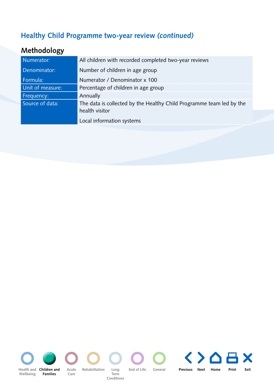### **Healthy Child Programme two-year review** *(continued)*

| Numerator:       | All children with recorded completed two-year reviews                                  |  |
|------------------|----------------------------------------------------------------------------------------|--|
| Denominator:     | Number of children in age group                                                        |  |
| Formula:         | Numerator / Denominator x 100                                                          |  |
| Unit of measure: | Percentage of children in age group                                                    |  |
| Frequency:       | Annually                                                                               |  |
| Source of data:  | The data is collected by the Healthy Child Programme team led by the<br>health visitor |  |
|                  | Local information systems                                                              |  |

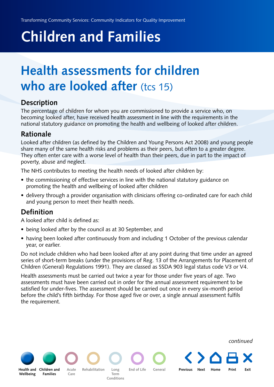# <span id="page-27-0"></span>**Children and Families**

## **Health assessments for children who are looked after** (tcs 15)

#### **Description**

The percentage of children for whom you are commissioned to provide a service who, on becoming looked after, have received health assessment in line with the requirements in the national statutory guidance on promoting the health and wellbeing of looked after children.

#### **Rationale**

Looked after children (as defined by the Children and Young Persons Act 2008) and young people share many of the same health risks and problems as their peers, but often to a greater degree. They often enter care with a worse level of health than their peers, due in part to the impact of poverty, abuse and neglect.

The NHS contributes to meeting the health needs of looked after children by:

- the commissioning of effective services in line with the national statutory guidance on promoting the health and wellbeing of looked after children
- delivery through a provider organisation with clinicians offering co-ordinated care for each child and young person to meet their health needs.

#### **Definition**

A looked after child is defined as:

**Families**

**Acute Care**

**Rehabilitation Long** 

**Term Conditions**

**[Health and](#page-5-0)** 

**Wellbeing**

- being looked after by the council as at 30 September, and
- having been looked after continuously from and including 1 October of the previous calendar year, or earlier.

Do not include children who had been looked after at any point during that time under an agreed series of short-term breaks (under the provisions of Reg. 13 of the Arrangements for Placement of Children (General) Regulations 1991). They are classed as SSDA 903 legal status code V3 or V4.

Health assessments must be carried out twice a year for those under five years of age. Two assessments must have been carried out in order for the annual assessment requirement to be satisfied for under-fives. The assessment should be carried out once in every six-month period before the child's fifth birthday. For those aged five or over, a single annual assessment fulfils the requirement.

**[Children and](#page-13-0) Previous Next [Home](#page-4-0) Print Exit**

**End of Life General**

*continued*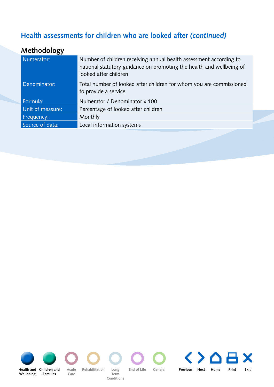### **Health assessments for children who are looked after** *(continued)*

| looked after children                                                                                       |
|-------------------------------------------------------------------------------------------------------------|
| Denominator:<br>Total number of looked after children for whom you are commissioned<br>to provide a service |
| Formula:<br>Numerator / Denominator x 100                                                                   |
| Unit of measure:<br>Percentage of looked after children                                                     |
| Monthly<br>Frequency:                                                                                       |
| Source of data:<br>Local information systems                                                                |

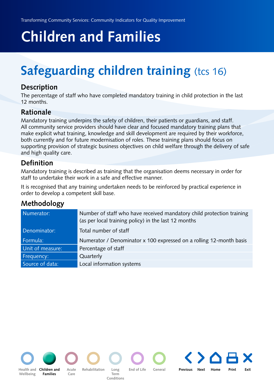# <span id="page-29-0"></span>**Children and Families**

# **Safeguarding children training (tcs 16)**

#### **Description**

The percentage of staff who have completed mandatory training in child protection in the last 12 months.

#### **Rationale**

Mandatory training underpins the safety of children, their patients or guardians, and staff. All community service providers should have clear and focused mandatory training plans that make explicit what training, knowledge and skill development are required by their workforce, both currently and for future modernisation of roles. These training plans should focus on supporting provision of strategic business objectives on child welfare through the delivery of safe and high quality care.

#### **Definition**

Mandatory training is described as training that the organisation deems necessary in order for staff to undertake their work in a safe and effective manner.

It is recognised that any training undertaken needs to be reinforced by practical experience in order to develop a competent skill base.

| Numerator:       | Number of staff who have received mandatory child protection training |  |
|------------------|-----------------------------------------------------------------------|--|
|                  | (as per local training policy) in the last 12 months                  |  |
| Denominator:     | Total number of staff                                                 |  |
|                  |                                                                       |  |
| Formula:         | Numerator / Denominator x 100 expressed on a rolling 12-month basis   |  |
| Unit of measure: | Percentage of staff                                                   |  |
| Frequency:       | Quarterly                                                             |  |
| Source of data:  | Local information systems                                             |  |
|                  |                                                                       |  |

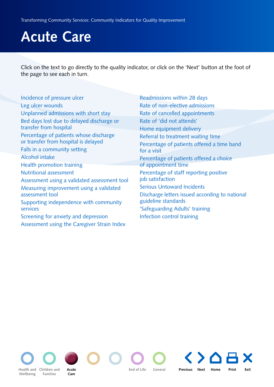<span id="page-30-0"></span>Click on the text to go directly to the quality indicator, or click on the 'Next' button at the foot of the page to see each in turn.

[Incidence of pressure ulcer](#page-31-0) [Leg ulcer wounds](#page-32-0) [Unplanned admissions with short stay](#page-33-0) [Bed days lost due to delayed discharge or](#page-34-0) transfer from hospital [Percentage of patients whose discharge](#page-35-0)  or transfer from hospital is delayed [Falls in a community setting](#page-36-0) [Alcohol intake](#page-7-0) [Health promotion training](#page-11-0) [Nutritional assessment](#page-12-0) [Assessment using a validated assessment tool](#page-39-0) [Measuring improvement using a validated](#page-41-0)  assessment tool [Supporting independence with community](#page-43-0)  services [Screening for anxiety and depression](#page-46-0) [Assessment using the Caregiver Strain Index](#page-48-0)

[Readmissions within 28 days](#page-55-0) [Rate of non-elective admissions](#page-56-0) [Rate of cancelled appointments](#page-57-0) [Rate of 'did not attends'](#page-58-0) [Home equipment delivery](#page-59-0) [Referral to treatment waiting time](#page-61-0) [Percentage of patients offered a time band](#page-62-0)  for a visit [Percentage of patients offered a choice](#page-63-0)  of appointment time [Percentage of staff reporting positive](#page-64-0)  job satisfaction [Serious Untoward Incidents](#page-66-0) [Discharge letters issued according to national](#page-67-0) guideline standards ['Safeguarding Adults' training](#page-69-0) [Infection control training](#page-70-0)

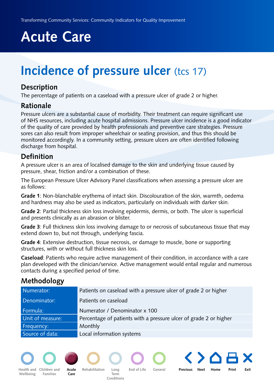## <span id="page-31-0"></span>**Incidence of pressure ulcer** (tcs 17)

#### **Description**

The percentage of patients on a caseload with a pressure ulcer of grade 2 or higher.

#### **Rationale**

Pressure ulcers are a substantial cause of morbidity. Their treatment can require significant use of NHS resources, including acute hospital admissions. Pressure ulcer incidence is a good indicator of the quality of care provided by health professionals and preventive care strategies. Pressure sores can also result from improper wheelchair or seating provision, and thus this should be monitored accordingly. In a community setting, pressure ulcers are often identified following discharge from hospital.

#### **Definition**

A pressure ulcer is an area of localised damage to the skin and underlying tissue caused by pressure, shear, friction and/or a combination of these.

The [European Pressure Ulcer Advisory Panel](http://www.epuap.org/) classifications when assessing a pressure ulcer are as follows:

**Grade 1**: Non-blanchable erythema of intact skin. Discolouration of the skin, warmth, oedema and hardness may also be used as indicators, particularly on individuals with darker skin.

**Grade 2**: Partial thickness skin loss involving epidermis, dermis, or both. The ulcer is superficial and presents clinically as an abrasion or blister.

**Grade 3**: Full thickness skin loss involving damage to or necrosis of subcutaneous tissue that may extend down to, but not through, underlying fascia.

**Grade 4**: Extensive destruction, tissue necrosis, or damage to muscle, bone or supporting structures, with or without full thickness skin loss.

**Caseload**: Patients who require active management of their condition, in accordance with a care plan developed with the clinician/service. Active management would entail regular and numerous contacts during a specified period of time.

| Numerator:       | Patients on caseload with a pressure ulcer of grade 2 or higher   |
|------------------|-------------------------------------------------------------------|
| Denominator:     | Patients on caseload                                              |
| Formula:         | Numerator / Denominator x 100                                     |
| Unit of measure: | Percentage of patients with a pressure ulcer of grade 2 or higher |
| Frequency:       | Monthly                                                           |
| Source of data:  | Local information systems                                         |

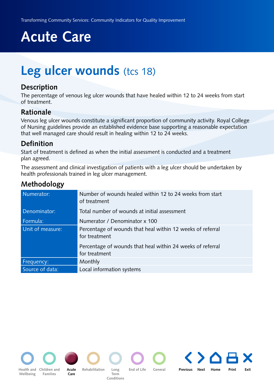## <span id="page-32-0"></span>**Leg ulcer wounds** (tcs 18)

#### **Description**

The percentage of venous leg ulcer wounds that have healed within 12 to 24 weeks from start of treatment.

#### **Rationale**

[Venous leg ulcer wounds constitute a significant proportion of community activity. Royal College](http://www.rcn.org.uk/development/practice/clinicalguidelines/venous_leg_ulcers) of Nursing guidelines provide an established evidence base supporting a reasonable expectation that well managed care should result in healing within 12 to 24 weeks.

#### **Definition**

Start of treatment is defined as when the initial assessment is conducted and a treatment plan agreed.

The assessment and clinical investigation of patients with a leg ulcer should be undertaken by health professionals trained in leg ulcer management.

| Numerator:       | Number of wounds healed within 12 to 24 weeks from start<br>of treatment    |
|------------------|-----------------------------------------------------------------------------|
| Denominator:     | Total number of wounds at initial assessment                                |
| Formula:         | Numerator / Denominator x 100                                               |
| Unit of measure: | Percentage of wounds that heal within 12 weeks of referral<br>for treatment |
|                  | Percentage of wounds that heal within 24 weeks of referral<br>for treatment |
| Frequency:       | Monthly                                                                     |
| Source of data:  | Local information systems                                                   |

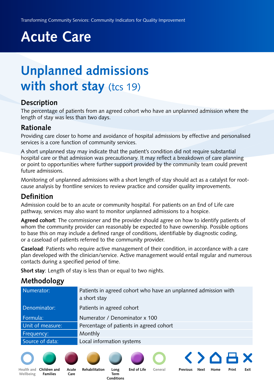## <span id="page-33-0"></span>**Unplanned admissions with short stay** (tcs 19)

#### **Description**

The percentage of patients from an agreed cohort who have an unplanned admission where the length of stay was less than two days.

#### **Rationale**

Providing care closer to home and avoidance of hospital admissions by effective and personalised services is a core function of community services.

A short unplanned stay may indicate that the patient's condition did not require substantial hospital care or that admission was precautionary. It may reflect a breakdown of care planning or point to opportunities where further support provided by the community team could prevent future admissions.

Monitoring of unplanned admissions with a short length of stay should act as a catalyst for rootcause analysis by frontline services to review practice and consider quality improvements.

#### **Definition**

Admission could be to an acute or community hospital. For patients on an End of Life care pathway, services may also want to monitor unplanned admissions to a hospice.

**Agreed cohort**: The commissioner and the provider should agree on how to identify patients of whom the community provider can reasonably be expected to have ownership. Possible options to base this on may include a defined range of conditions, identifiable by diagnostic coding, or a caseload of patients referred to the community provider.

**Caseload**: Patients who require active management of their condition, in accordance with a care plan developed with the clinician/service. Active management would entail regular and numerous contacts during a specified period of time.

**Short stay**: Length of stay is less than or equal to two nights.

#### **Methodology**

| Numerator:       | Patients in agreed cohort who have an unplanned admission with<br>a short stay |
|------------------|--------------------------------------------------------------------------------|
| Denominator:     | Patients in agreed cohort                                                      |
| Formula:         | Numerator / Denominator x 100                                                  |
| Unit of measure: | Percentage of patients in agreed cohort                                        |
| Frequency:       | Monthly                                                                        |
| Source of data:  | Local information systems                                                      |
|                  |                                                                                |

**Long End of Life**









**[Children and](#page-13-0) Rehabilitation**



**General**

**Acute Previous Next [Home](#page-4-0) Print Exit**

**[Health and](#page-5-0)  Wellbeing**

**Families**

**Care**

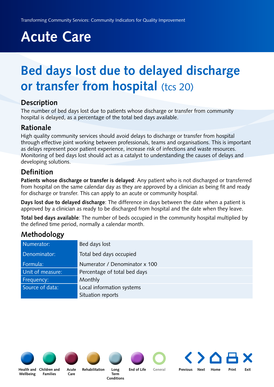## <span id="page-34-0"></span>**Bed days lost due to delayed discharge or transfer from hospital (tcs 20)**

#### **Description**

The number of bed days lost due to patients whose discharge or transfer from community hospital is delayed, as a percentage of the total bed days available.

#### **Rationale**

High quality community services should avoid delays to discharge or transfer from hospital through effective joint working between professionals, teams and organisations. This is important as delays represent poor patient experience, increase risk of infections and waste resources. Monitoring of bed days lost should act as a catalyst to understanding the causes of delays and developing solutions.

#### **Definition**

**Patients whose discharge or transfer is delayed**: Any patient who is not discharged or transferred from hospital on the same calendar day as they are approved by a clinician as being fit and ready for discharge or transfer. This can apply to an acute or community hospital.

**Days lost due to delayed discharge**: The difference in days between the date when a patient is approved by a clinician as ready to be discharged from hospital and the date when they leave.

**Total bed days available**: The number of beds occupied in the community hospital multiplied by the defined time period, normally a calendar month.

#### **Methodology**

| Numerator:       | Bed days lost                 |
|------------------|-------------------------------|
| Denominator:     | Total bed days occupied       |
| Formula:         | Numerator / Denominator x 100 |
| Unit of measure: | Percentage of total bed days  |
| Frequency:       | Monthly                       |
| Source of data:  | Local information systems     |
|                  | Situation reports             |



**Wellbeing**







**Care**

**Term Conditions**



**General**

**Acute Previous Next [Home](#page-4-0) Print Exit**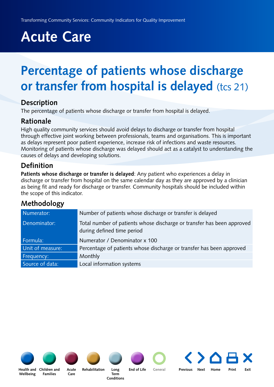## <span id="page-35-0"></span>**Percentage of patients whose discharge or transfer from hospital is delayed** (tcs 21)

#### **Description**

The percentage of patients whose discharge or transfer from hospital is delayed.

#### **Rationale**

High quality community services should avoid delays to discharge or transfer from hospital through effective joint working between professionals, teams and organisations. This is important as delays represent poor patient experience, increase risk of infections and waste resources. Monitoring of patients whose discharge was delayed should act as a catalyst to understanding the causes of delays and developing solutions.

#### **Definition**

**Patients whose discharge or transfer is delayed**: Any patient who experiences a delay in discharge or transfer from hospital on the same calendar day as they are approved by a clinician as being fit and ready for discharge or transfer. Community hospitals should be included within the scope of this indicator.

### **Methodology**

| Numerator:       | Number of patients whose discharge or transfer is delayed                                            |
|------------------|------------------------------------------------------------------------------------------------------|
| Denominator:     | Total number of patients whose discharge or transfer has been approved<br>during defined time period |
| Formula:         | Numerator / Denominator x 100                                                                        |
| Unit of measure: | Percentage of patients whose discharge or transfer has been approved                                 |
| Frequency:       | Monthly                                                                                              |
| Source of data:  | Local information systems                                                                            |
|                  |                                                                                                      |



**Wellbeing**



**Families**



**Care**



**Term Conditions**



**General**

**Long End of Life**

**Acute Previous Next [Home](#page-4-0) Print Exit**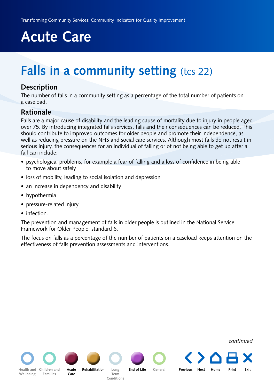## <span id="page-36-0"></span>**Falls in a community setting (tcs 22)**

#### **Description**

The number of falls in a community setting as a percentage of the total number of patients on a caseload.

#### **Rationale**

Falls are a major cause of disability and the leading cause of mortality due to injury in people aged over 75. By introducing integrated falls services, falls and their consequences can be reduced. This should contribute to improved outcomes for older people and promote their independence, as well as reducing pressure on the NHS and social care services. Although most falls do not result in serious injury, the consequences for an individual of falling or of not being able to get up after a fall can include:

- psychological problems, for example a fear of falling and a loss of confidence in being able to move about safely
- loss of mobility, leading to social isolation and depression
- an increase in dependency and disability
- hypothermia
- pressure-related injury
- infection.

[The prevention and management of falls in older people is outlined in the National Service](http://www.dh.gov.uk/en/publicationsandstatistics/publications/publicationspolicyandguidance/DH_4003066) Framework for Older People, standard 6.

The focus on falls as a percentage of the number of patients on a caseload keeps attention on the effectiveness of falls prevention assessments and interventions.

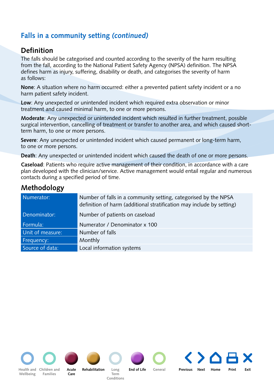### **Falls in a community setting** *(continued)*

#### **Definition**

The falls should be categorised and counted according to the severity of the harm resulting from the fall, according to the [National Patient Safety Agency](http://www.nrls.npsa.nhs.uk/resources/patient-safety-topics/patient-accidents-falls/?locale=en&entryid45=59821) (NPSA) definition. The NPSA defines harm as injury, suffering, disability or death, and categorises the severity of harm as follows:

**None**: A situation where no harm occurred: either a prevented patient safety incident or a no harm patient safety incident.

**Low**: Any unexpected or unintended incident which required extra observation or minor treatment and caused minimal harm, to one or more persons.

**Moderate**: Any unexpected or unintended incident which resulted in further treatment, possible surgical intervention, cancelling of treatment or transfer to another area, and which caused shortterm harm, to one or more persons.

**Severe**: Any unexpected or unintended incident which caused permanent or long-term harm, to one or more persons.

**Death**: Any unexpected or unintended incident which caused the death of one or more persons.

**Caseload**: Patients who require active management of their condition, in accordance with a care plan developed with the clinician/service. Active management would entail regular and numerous contacts during a specified period of time.

| Numerator:       | Number of falls in a community setting, categorised by the NPSA<br>definition of harm (additional stratification may include by setting) |
|------------------|------------------------------------------------------------------------------------------------------------------------------------------|
| Denominator:     | Number of patients on caseload                                                                                                           |
| Formula:         | Numerator / Denominator x 100                                                                                                            |
| Unit of measure: | Number of falls                                                                                                                          |
| Frequency:       | Monthly                                                                                                                                  |
| Source of data:  | Local information systems                                                                                                                |

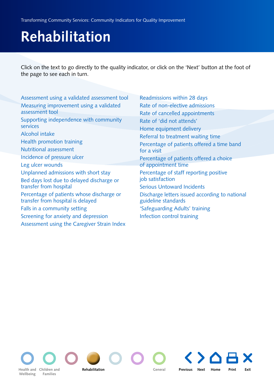# <span id="page-38-0"></span>**Rehabilitation**

Click on the text to go directly to the quality indicator, or click on the 'Next' button at the foot of the page to see each in turn.

| Assessment using a validated assessment tool | Readmissions within 28 days                    |
|----------------------------------------------|------------------------------------------------|
| Measuring improvement using a validated      | Rate of non-elective admissions                |
| assessment tool                              | Rate of cancelled appointments                 |
| Supporting independence with community       | Rate of 'did not attends'                      |
| services                                     | Home equipment delivery                        |
| Alcohol intake                               | Referral to treatment waiting time             |
| Health promotion training                    | Percentage of patients offered a time band     |
| Nutritional assessment                       | for a visit                                    |
| Incidence of pressure ulcer                  | Percentage of patients offered a choice        |
| Leg ulcer wounds                             | of appointment time                            |
| Unplanned admissions with short stay         | Percentage of staff reporting positive         |
| Bed days lost due to delayed discharge or    | job satisfaction                               |
| transfer from hospital                       | <b>Serious Untoward Incidents</b>              |
| Percentage of patients whose discharge or    | Discharge letters issued according to national |
| transfer from hospital is delayed            | guideline standards                            |
| Falls in a community setting                 | 'Safeguarding Adults' training                 |
| Screening for anxiety and depression         | Infection control training                     |
| Assessment using the Caregiver Strain Index  |                                                |

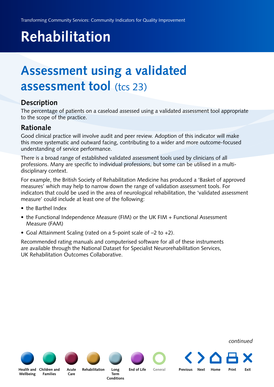# <span id="page-39-0"></span>**Rehabilitation**

### **Assessment using a validated assessment tool** (tcs 23)

#### **Description**

The percentage of patients on a caseload assessed using a validated assessment tool appropriate to the scope of the practice.

#### **Rationale**

Good clinical practice will involve audit and peer review. Adoption of this indicator will make this more systematic and outward facing, contributing to a wider and more outcome-focused understanding of service performance.

There is a broad range of established validated assessment tools used by clinicians of all professions. Many are specific to individual professions, but some can be utilised in a multidisciplinary context.

[For example, the British Society of Rehabilitation Medicine has produced a 'Basket of approved](http://www.bsrm.co.uk/ClinicalGuidance/ClinicalGuidance.htm) measures' which may help to narrow down the range of validation assessment tools. For indicators that could be used in the area of neurological rehabilitation, the 'validated assessment measure' could include at least one of the following:

- the Barthel Index
- the Functional Independence Measure (FIM) or the UK FIM + Functional Assessment Measure (FAM)
- Goal Attainment Scaling (rated on a 5-point scale of –2 to +2).

Recommended rating manuals and computerised software for all of these instruments are available through the [National Dataset for Specialist Neurorehabilitation Services,](http://www.ic.nhs.uk/services/datasets/document-downloads/long-term-neurological-conditions-ltnc-data-set) UK Rehabilitation Outcomes Collaborative.

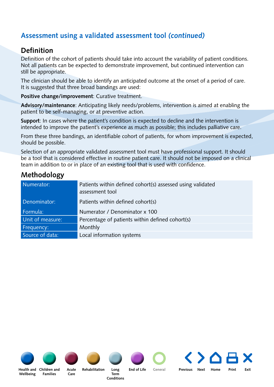### **Assessment using a validated assessment tool** *(continued)*

#### **Definition**

Definition of the cohort of patients should take into account the variability of patient conditions. Not all patients can be expected to demonstrate improvement, but continued intervention can still be appropriate.

The clinician should be able to identify an anticipated outcome at the onset of a period of care. It is suggested that three broad bandings are used:

**Positive change/improvement**: Curative treatment.

**Advisory/maintenance**: Anticipating likely needs/problems, intervention is aimed at enabling the patient to be self-managing, or at preventive action.

**Support**: In cases where the patient's condition is expected to decline and the intervention is intended to improve the patient's experience as much as possible; this includes palliative care.

From these three bandings, an identifiable cohort of patients, for whom improvement is expected, should be possible.

Selection of an appropriate validated assessment tool must have professional support. It should be a tool that is considered effective in routine patient care. It should not be imposed on a clinical team in addition to or in place of an existing tool that is used with confidence.

| Numerator:       | Patients within defined cohort(s) assessed using validated<br>assessment tool |
|------------------|-------------------------------------------------------------------------------|
| Denominator:     | Patients within defined cohort(s)                                             |
| Formula:         | Numerator / Denominator x 100                                                 |
| Unit of measure: | Percentage of patients within defined cohort(s)                               |
| Frequency:       | Monthly                                                                       |
| Source of data:  | Local information systems                                                     |

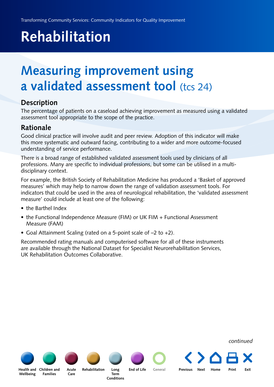# <span id="page-41-0"></span>**Rehabilitation**

### **Measuring improvement using a validated assessment tool** (tcs 24)

#### **Description**

The percentage of patients on a caseload achieving improvement as measured using a validated assessment tool appropriate to the scope of the practice.

#### **Rationale**

Good clinical practice will involve audit and peer review. Adoption of this indicator will make this more systematic and outward facing, contributing to a wider and more outcome-focused understanding of service performance.

There is a broad range of established validated assessment tools used by clinicians of all professions. Many are specific to individual professions, but some can be utilised in a multidisciplinary context.

For example, the British Society of Rehabilitation Medicine has produced a 'Basket of approved measures' which may help to narrow down the range of validation assessment tools. For indicators that could be used in the area of neurological rehabilitation, the 'validated assessment measure' could include at least one of the following:

- the Barthel Index
- the Functional Independence Measure (FIM) or UK FIM + Functional Assessment Measure (FAM)
- Goal Attainment Scaling (rated on a 5-point scale of –2 to +2).

Recommended rating manuals and computerised software for all of these instruments are available through the National Dataset for Specialist Neurorehabilitation Services, UK Rehabilitation Outcomes Collaborative.

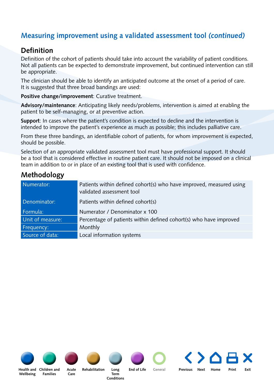### **Measuring improvement using a validated assessment tool** *(continued)*

#### **Definition**

Definition of the cohort of patients should take into account the variability of patient conditions. Not all patients can be expected to demonstrate improvement, but continued intervention can still be appropriate.

The clinician should be able to identify an anticipated outcome at the onset of a period of care. It is suggested that three broad bandings are used:

**Positive change/improvement**: Curative treatment.

**Advisory/maintenance**: Anticipating likely needs/problems, intervention is aimed at enabling the patient to be self-managing, or at preventive action.

**Support**: In cases where the patient's condition is expected to decline and the intervention is intended to improve the patient's experience as much as possible; this includes palliative care.

From these three bandings, an identifiable cohort of patients, for whom improvement is expected, should be possible.

Selection of an appropriate validated assessment tool must have professional support. It should be a tool that is considered effective in routine patient care. It should not be imposed on a clinical team in addition to or in place of an existing tool that is used with confidence.

| Numerator:       | Patients within defined cohort(s) who have improved, measured using<br>validated assessment tool |
|------------------|--------------------------------------------------------------------------------------------------|
| Denominator:     | Patients within defined cohort(s)                                                                |
| Formula:         | Numerator / Denominator x 100                                                                    |
| Unit of measure: | Percentage of patients within defined cohort(s) who have improved                                |
| Frequency:       | Monthly                                                                                          |
| Source of data:  | Local information systems                                                                        |

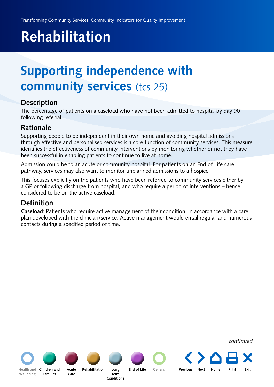# <span id="page-43-0"></span>**Rehabilitation**

## **Supporting independence with community services** (tcs 25)

#### **Description**

The percentage of patients on a caseload who have not been admitted to hospital by day 90 following referral.

#### **Rationale**

Supporting people to be independent in their own home and avoiding hospital admissions through effective and personalised services is a core function of community services. This measure identifies the effectiveness of community interventions by monitoring whether or not they have been successful in enabling patients to continue to live at home.

Admission could be to an acute or community hospital. For patients on an End of Life care pathway, services may also want to monitor unplanned admissions to a hospice.

This focuses explicitly on the patients who have been referred to community services either by a GP or following discharge from hospital, and who require a period of interventions – hence considered to be on the active caseload.

### **Definition**

**Caseload**: Patients who require active management of their condition, in accordance with a care plan developed with the clinician/service. Active management would entail regular and numerous contacts during a specified period of time.

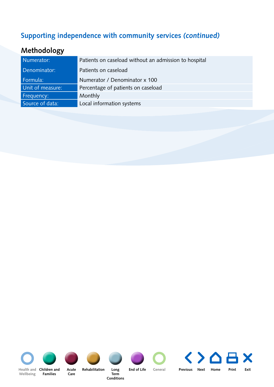### **Supporting independence with community services** *(continued)*

| Numerator:       | Patients on caseload without an admission to hospital |
|------------------|-------------------------------------------------------|
| Denominator:     | Patients on caseload                                  |
| Formula:         | Numerator / Denominator x 100                         |
| Unit of measure: | Percentage of patients on caseload                    |
| Frequency:       | Monthly                                               |
| Source of data:  | Local information systems                             |
|                  |                                                       |

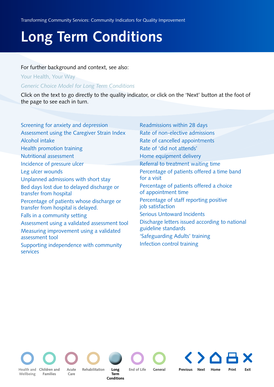# <span id="page-45-0"></span>**Long Term Conditions**

#### For further background and context, see also:

[Your Health, Your Way](http://www.dh.gov.uk/en/Publicationsandstatistics/Publications/PublicationsPolicyAndGuidance/DH_097588)

*[Generic Choice Model for Long Term Conditions](http://www.dh.gov.uk/en/Publicationsandstatistics/Publications/PublicationsPolicyAndGuidance/DH_081105)*

Click on the text to go directly to the quality indicator, or click on the 'Next' button at the foot of the page to see each in turn.

| Screening for anxiety and depression                                            | Readmissions within 28 days                                    |
|---------------------------------------------------------------------------------|----------------------------------------------------------------|
| Assessment using the Caregiver Strain Index                                     | Rate of non-elective admissions                                |
| Alcohol intake                                                                  | Rate of cancelled appointments                                 |
| Health promotion training                                                       | Rate of 'did not attends'                                      |
| <b>Nutritional assessment</b>                                                   | Home equipment delivery                                        |
| Incidence of pressure ulcer                                                     | Referral to treatment waiting time                             |
| Leg ulcer wounds                                                                | Percentage of patients offered a time band                     |
| Unplanned admissions with short stay                                            | for a visit                                                    |
| Bed days lost due to delayed discharge or<br>transfer from hospital             | Percentage of patients offered a choice<br>of appointment time |
| Percentage of patients whose discharge or<br>transfer from hospital is delayed. | Percentage of staff reporting positive<br>job satisfaction     |
| Falls in a community setting                                                    | <b>Serious Untoward Incidents</b>                              |
| Assessment using a validated assessment tool                                    | Discharge letters issued according to national                 |
| Measuring improvement using a validated                                         | guideline standards                                            |
| assessment tool                                                                 | 'Safeguarding Adults' training                                 |
| Supporting independence with community<br>services                              | Infection control training                                     |

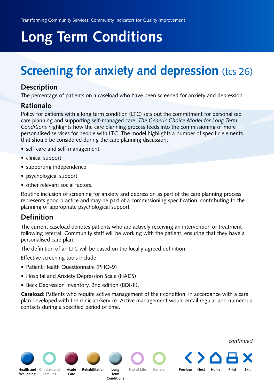# <span id="page-46-0"></span>**Long Term Conditions**

## **Screening for anxiety and depression (tcs 26)**

#### **Description**

The percentage of patients on a caseload who have been screened for anxiety and depression.

#### **Rationale**

Policy for patients with a long term condition (LTC) sets out the commitment for personalised care planning and supporting self-managed care. *The Generic Choice Model for Long Term Conditions* [highlights how the care planning process feeds into the commissioning of more](http://www.dh.gov.uk/en/publicationsandstatistics/publications/publicationspolicyandguidance/DH_081105)  personalised services for people with LTC. The model highlights a number of specific elements that should be considered during the care planning discussion:

- self-care and self-management
- clinical support
- supporting independence
- psychological support
- other relevant social factors.

Routine inclusion of screening for anxiety and depression as part of the care planning process represents good practice and may be part of a commissioning specification, contributing to the planning of appropriate psychological support.

#### **Definition**

The current caseload denotes patients who are actively receiving an intervention or treatment following referral. Community staff will be working with the patient, ensuring that they have a personalised care plan.

The definition of an LTC will be based on the locally agreed definition.

Effective screening tools include:

- Patient Health Questionnaire (PHQ-9)
- Hospital and Anxiety Depression Scale (HADS)
- Beck Depression Inventory, 2nd edition (BDI-II).

**Caseload**: Patients who require active management of their condition, in accordance with a care plan developed with the clinician/service. Active management would entail regular and numerous contacts during a specified period of time.



*continued*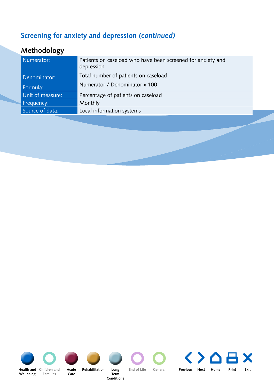### **Screening for anxiety and depression** *(continued)*

| Numerator:       | Patients on caseload who have been screened for anxiety and<br>depression |
|------------------|---------------------------------------------------------------------------|
| Denominator:     | Total number of patients on caseload                                      |
| Formula:         | Numerator / Denominator x 100                                             |
| Unit of measure: | Percentage of patients on caseload                                        |
| Frequency:       | Monthly                                                                   |
| Source of data:  | Local information systems                                                 |
|                  |                                                                           |

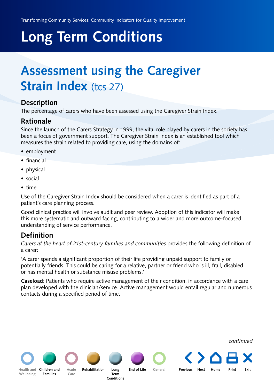# <span id="page-48-0"></span>**Long Term Conditions**

## **Assessment using the Caregiver Strain Index (tcs 27)**

#### **Description**

The percentage of carers who have been assessed using the Caregiver Strain Index.

#### **Rationale**

Since the launch of the Carers Strategy in 1999, the vital role played by carers in the society has been a focus of government support. The Caregiver Strain Index is an established tool which measures the strain related to providing care, using the domains of:

- employment
- financial
- physical
- social
- time.

Use of the Caregiver Strain Index should be considered when a carer is identified as part of a patient's care planning process.

Good clinical practice will involve audit and peer review. Adoption of this indicator will make this more systematic and outward facing, contributing to a wider and more outcome-focused understanding of service performance.

#### **Definition**

*[Carers at the heart of 21st-century families and communities](http://www.dh.gov.uk/en/Publicationsandstatistics/Publications/PublicationsPolicyAndGuidance/DH_085345)* provides the following definition of a carer:

'A carer spends a significant proportion of their life providing unpaid support to family or potentially friends. This could be caring for a relative, partner or friend who is ill, frail, disabled or has mental health or substance misuse problems.'

**Caseload**: Patients who require active management of their condition, in accordance with a care plan developed with the clinician/service. Active management would entail regular and numerous contacts during a specified period of time.



*continued*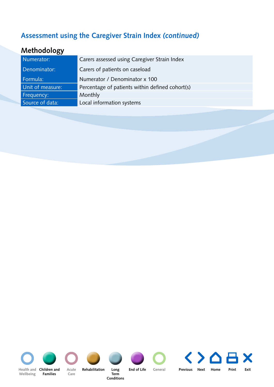### **Assessment using the Caregiver Strain Index** *(continued)*

| Numerator:       | Carers assessed using Caregiver Strain Index    |
|------------------|-------------------------------------------------|
| Denominator:     | Carers of patients on caseload                  |
| Formula:         | Numerator / Denominator x 100                   |
| Unit of measure: | Percentage of patients within defined cohort(s) |
| Frequency:       | Monthly                                         |
| Source of data:  | Local information systems                       |
|                  |                                                 |

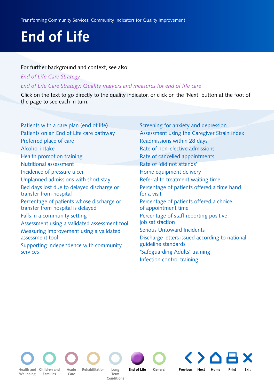#### <span id="page-50-0"></span>For further background and context, see also:

*[End of Life Care Strategy](http://www.dh.gov.uk/en/Publicationsandstatistics/Publications/PublicationsPolicyAndGuidance/DH_086277)*

*[End of Life Care Strategy: Quality markers and measures for end of life care](http://www.dh.gov.uk/en/Publicationsandstatistics/Publications/PublicationsPolicyAndGuidance/DH_101681)*

Click on the text to go directly to the quality indicator, or click on the 'Next' button at the foot of the page to see each in turn.

[Patients with a care plan \(end of life\)](#page-51-0) [Patients on an End of Life care pathway](#page-52-0) [Preferred place of care](#page-53-0) [Alcohol intake](#page-7-0) [Health promotion training](#page-11-0) [Nutritional assessment](#page-12-0) [Incidence of pressure ulcer](#page-31-0) [Unplanned admissions with short stay](#page-33-0) [Bed days lost due to delayed discharge or](#page-34-0) transfer from hospital [Percentage of patients whose discharge or](#page-35-0)  transfer from hospital is delayed [Falls in a community setting](#page-36-0) [Assessment using a validated assessment tool](#page-39-0) [Measuring improvement using a validated](#page-41-0)  assessment tool [Supporting independence with community](#page-43-0)  services

[Screening for anxiety and depression](#page-46-0) [Assessment using the Caregiver Strain Index](#page-48-0) [Readmissions within 28 days](#page-55-0) [Rate of non-elective admissions](#page-56-0) [Rate of cancelled appointments](#page-57-0) [Rate of 'did not attends'](#page-58-0) [Home equipment delivery](#page-59-0) [Referral to treatment waiting time](#page-61-0) [Percentage of patients offered a time band](#page-62-0)  for a visit [Percentage of patients offered a choice](#page-63-0)  of appointment time [Percentage of staff reporting positive](#page-64-0)  job satisfaction [Serious Untoward Incidents](#page-66-0) [Discharge letters issued according to national](#page-67-0) guideline standards ['Safeguarding Adults' training](#page-69-0) [Infection control training](#page-70-0)



**Families**

**Care**

**Term Conditions**

Acute Rehabilitation Long **End of Life** General **End of Life** 

**[Children and](#page-13-0) Previous Next [Home](#page-4-0) Print Exit**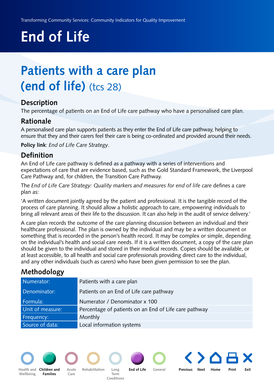## <span id="page-51-0"></span>**Patients with a care plan (end of life)** (tcs 28)

#### **Description**

The percentage of patients on an End of Life care pathway who have a personalised care plan.

#### **Rationale**

A personalised care plan supports patients as they enter the End of Life care pathway, helping to ensure that they and their carers feel their care is being co-ordinated and provided around their needs.

**Policy link**: *[End of Life Care Strategy](http://www.dh.gov.uk/en/Publicationsandstatistics/Publications/PublicationsPolicyAndGuidance/DH_086277)*.

#### **Definition**

An End of Life care pathway is defined as a pathway with a series of interventions and [expectations of care that are evidence based, such as the](http://www.mcpcil.org.uk/liverpool-care-pathway/) [Gold Standard Framewor](http://www.goldstandardsframework.nhs.uk/About_GSF/WhyGold)[k, the Liverpool](http://www.mcpcil.org.uk/liverpool-care-pathway/)  Care Pathway and, for children, the [Transition Care Pathway.](http://www.thechildrenstrust.org.uk/page.asp?section=1457§ionTitle=Care+pathway)

The *[End of Life Care Strategy: Quality markers and measures for end of life care](http://www.dh.gov.uk/en/Publicationsandstatistics/Publications/PublicationsPolicyAndGuidance/DH_101681)* defines a care plan as:

'A written document jointly agreed by the patient and professional. It is the tangible record of the process of care planning. It should allow a holistic approach to care, empowering individuals to bring all relevant areas of their life to the discussion. It can also help in the audit of service delivery.'

A care plan records the outcome of the care planning discussion between an individual and their healthcare professional. The plan is owned by the individual and may be a written document or something that is recorded in the person's health record. It may be complex or simple, depending on the individual's health and social care needs. If it is a written document, a copy of the care plan should be given to the individual and stored in their medical records. Copies should be available, or at least accessible, to all health and social care professionals providing direct care to the individual, and any other individuals (such as carers) who have been given permission to see the plan.

### **Methodology**

| Numerator:       | Patients with a care plan                             |
|------------------|-------------------------------------------------------|
| Denominator:     | Patients on an End of Life care pathway               |
| Formula:         | Numerator / Denominator x 100                         |
| Unit of measure: | Percentage of patients on an End of Life care pathway |
| Frequency:       | Monthly                                               |
| Source of data:  | Local information systems                             |



**Wellbeing**



**Acute Care**

**Rehabilitation Long Term Conditions**

**[General](#page-54-0) Previous Next [Home](#page-4-0) Print Exit**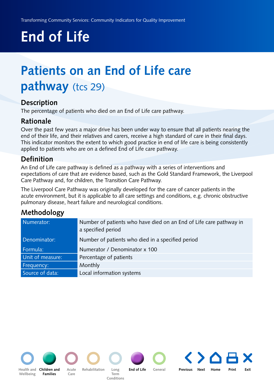## <span id="page-52-0"></span>**Patients on an End of Life care pathway** (tcs 29)

#### **Description**

The percentage of patients who died on an End of Life care pathway.

#### **Rationale**

Over the past few years a major drive has been under way to ensure that all patients nearing the end of their life, and their relatives and carers, receive a high standard of care in their final days. This indicator monitors the extent to which good practice in end of life care is being consistently applied to patients who are on a defined End of Life care pathway.

#### **Definition**

An End of Life care pathway is defined as a pathway with a series of interventions and [expectations of care that are evidence based, such as the](http://www.mcpcil.org.uk/liverpool-care-pathway/) [Gold Standard Framewor](http://www.goldstandardsframework.nhs.uk/About_GSF/WhyGold)[k, the Liverpool](http://www.mcpcil.org.uk/liverpool-care-pathway/)  Care Pathway and, for children, the [Transition Care Pathway.](http://www.thechildrenstrust.org.uk/page.asp?section=1457§ionTitle=Care+pathway)

The Liverpool Care Pathway was originally developed for the care of cancer patients in the acute environment, but it is applicable to all care settings and conditions, e.g. chronic obstructive pulmonary disease, heart failure and neurological conditions.

### **Methodology**

| Numerator:       | Number of patients who have died on an End of Life care pathway in<br>a specified period |
|------------------|------------------------------------------------------------------------------------------|
| Denominator:     | Number of patients who died in a specified period                                        |
| Formula:         | Numerator / Denominator x 100                                                            |
| Unit of measure: | Percentage of patients                                                                   |
| Frequency:       | Monthly                                                                                  |
| Source of data:  | Local information systems                                                                |



**Term Conditions**

**[General](#page-54-0) Previous Next [Home](#page-4-0) Print Exit**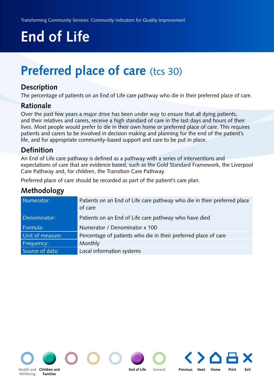## <span id="page-53-0"></span>**Preferred place of care** (tcs 30)

#### **Description**

The percentage of patients on an End of Life care pathway who die in their preferred place of care.

#### **Rationale**

Over the past few years a major drive has been under way to ensure that all dying patients, and their relatives and carers, receive a high standard of care in the last days and hours of their lives. Most people would prefer to die in their own home or preferred place of care. This requires patients and carers to be involved in decision making and planning for the end of the patient's life, and for appropriate community-based support and care to be put in place.

#### **Definition**

An End of Life care pathway is defined as a pathway with a series of interventions and expectations of care that are evidence based, such as the Gold Standard Framework, the Liverpool Care Pathway and, for children, the Transition Care Pathway.

Preferred place of care should be recorded as part of the patient's care plan.

| ັ                |                                                                                     |
|------------------|-------------------------------------------------------------------------------------|
| Numerator:       | Patients on an End of Life care pathway who die in their preferred place<br>of care |
| Denominator:     | Patients on an End of Life care pathway who have died                               |
| Formula:         | Numerator / Denominator x 100                                                       |
| Unit of measure: | Percentage of patients who die in their preferred place of care                     |
| Frequency:       | Monthly                                                                             |
| Source of data:  | Local information systems                                                           |

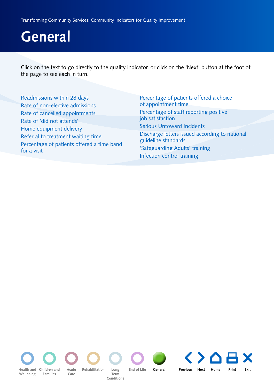<span id="page-54-0"></span>Click on the text to go directly to the quality indicator, or click on the 'Next' button at the foot of the page to see each in turn.

| Readmissions within 28 days                | Percentage of patients offered a choice                               |
|--------------------------------------------|-----------------------------------------------------------------------|
| Rate of non-elective admissions            | of appointment time                                                   |
| Rate of cancelled appointments             | Percentage of staff reporting positive                                |
| Rate of 'did not attends'                  | job satisfaction                                                      |
| Home equipment delivery                    | <b>Serious Untoward Incidents</b>                                     |
| Referral to treatment waiting time         | Discharge letters issued according to national<br>guideline standards |
| Percentage of patients offered a time band | 'Safeguarding Adults' training                                        |
| for a visit                                | Infection control training                                            |

**Wellbeing**

**Families [Health and](#page-5-0) Children and Acute Rehabilitation** 

**Care**

**Term Conditions**

**Acute General Rehabilitation Long End of Life** 

Acute Rehabilitation Long End of Life General Previous Next [Home](#page-4-0) Print Exit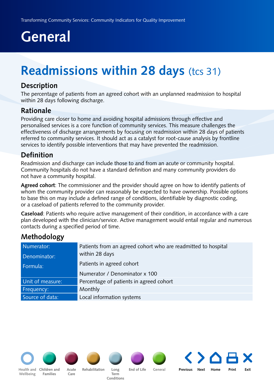## <span id="page-55-0"></span>**Readmissions within 28 days (tcs 31)**

#### **Description**

The percentage of patients from an agreed cohort with an unplanned readmission to hospital within 28 days following discharge.

#### **Rationale**

Providing care closer to home and avoiding hospital admissions through effective and personalised services is a core function of community services. This measure challenges the effectiveness of discharge arrangements by focusing on readmission within 28 days of patients referred to community services. It should act as a catalyst for root-cause analysis by frontline services to identify possible interventions that may have prevented the readmission.

#### **Definition**

Readmission and discharge can include those to and from an acute or community hospital. Community hospitals do not have a standard definition and many community providers do not have a community hospital.

**Agreed cohort**: The commissioner and the provider should agree on how to identify patients of whom the community provider can reasonably be expected to have ownership. Possible options to base this on may include a defined range of conditions, identifiable by diagnostic coding, or a caseload of patients referred to the community provider.

**Caseload**: Patients who require active management of their condition, in accordance with a care plan developed with the clinician/service. Active management would entail regular and numerous contacts during a specified period of time.

### **Methodology**

| Numerator:       | Patients from an agreed cohort who are readmitted to hospital |
|------------------|---------------------------------------------------------------|
| Denominator:     | within 28 days                                                |
| Formula:         | Patients in agreed cohort                                     |
|                  | Numerator / Denominator x 100                                 |
| Unit of measure: | Percentage of patients in agreed cohort                       |
| Frequency:       | Monthly                                                       |
| Source of data:  | Local information systems                                     |

**[Health and](#page-5-0) Children and Acute Wellbeing**

**Families**



**Care**



**[Children and](#page-13-0) Previous Next [Home](#page-4-0) Print Exit** Acute Rehabilitation Long End of Life General **Term** 

**Conditions**

**End of Life** 

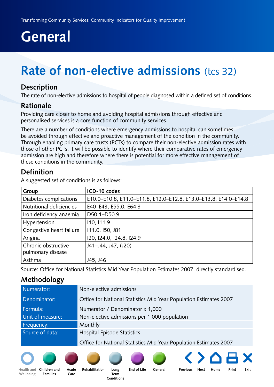## <span id="page-56-0"></span>**Rate of non-elective admissions** (tcs 32)

#### **Description**

The rate of non-elective admissions to hospital of people diagnosed within a defined set of conditions.

#### **Rationale**

Providing care closer to home and avoiding hospital admissions through effective and personalised services is a core function of community services.

There are a number of conditions where emergency admissions to hospital can sometimes be avoided through effective and proactive management of the condition in the community. Through enabling primary care trusts (PCTs) to compare their non-elective admission rates with those of other PCTs, it will be possible to identify where their comparative rates of emergency admission are high and therefore where there is potential for more effective management of these conditions in the community.

#### **Definition**

A suggested set of conditions is as follows:

| Group                    | ICD-10 codes                                                    |
|--------------------------|-----------------------------------------------------------------|
| Diabetes complications   | E10.0-E10.8, E11.0-E11.8, E12.0-E12.8, E13.0-E13.8, E14.0-E14.8 |
| Nutritional deficiencies | E40-E43, E55.0, E64.3                                           |
| Iron deficiency anaemia  | D50.1-D50.9                                                     |
| Hypertension             | 110, 111.9                                                      |
| Congestive heart failure | 111.0, 150, J81                                                 |
| Angina                   | 120, 124.0, 124.8, 124.9                                        |
| Chronic obstructive      | J41-J44, J47, (J20)                                             |
| pulmonary disease        |                                                                 |
| Asthma                   | J45, J46                                                        |

Source: Office for National Statistics Mid Year Population Estimates 2007, directly standardised.

#### **Methodology**

| Numerator:       | Non-elective admissions                                           |
|------------------|-------------------------------------------------------------------|
| Denominator:     | Office for National Statistics Mid Year Population Estimates 2007 |
| Formula:         | Numerator / Denominator x 1,000                                   |
| Unit of measure: | Non-elective admissions per 1,000 population                      |
| Frequency:       | Monthly                                                           |
| Source of data:  | Hospital Episode Statistics                                       |
|                  | Office for National Statistics Mid Year Population Estimates 2007 |







**Acute Care**



**Term Conditions**





**Wellbeing**

**Families**

```
Children and Acute Rehabilitation Long End of Life General
                               End of Life
```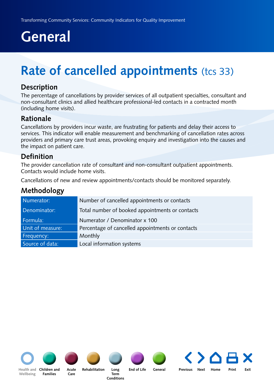## <span id="page-57-0"></span>**Rate of cancelled appointments** (tcs 33)

#### **Description**

The percentage of cancellations by provider services of all outpatient specialties, consultant and non-consultant clinics and allied healthcare professional-led contacts in a contracted month (including home visits).

#### **Rationale**

Cancellations by providers incur waste, are frustrating for patients and delay their access to services. This indicator will enable measurement and benchmarking of cancellation rates across providers and primary care trust areas, provoking enquiry and investigation into the causes and the impact on patient care.

#### **Definition**

The provider cancellation rate of consultant and non-consultant outpatient appointments. Contacts would include home visits.

Cancellations of new and review appointments/contacts should be monitored separately.

#### **Methodology**

| Numerator:       | Number of cancelled appointments or contacts     |
|------------------|--------------------------------------------------|
| Denominator:     | Total number of booked appointments or contacts  |
| Formula:         | Numerator / Denominator x 100                    |
| Unit of measure: | Percentage of cancelled appointments or contacts |
| Frequency:       | Monthly                                          |
| Source of data:  | Local information systems                        |



**Wellbeing**



**Families**



**Care**



**Term Conditions**



[Health and](#page-5-0) Children and Acute Rehabilitation Long End of Life General Previous Next [Home](#page-4-0) Print Exit

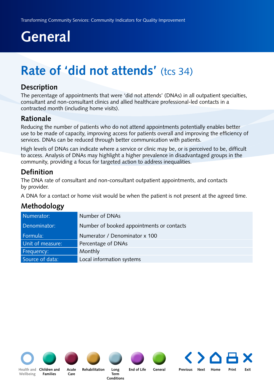## <span id="page-58-0"></span>**Rate of 'did not attends' (tcs 34)**

#### **Description**

The percentage of appointments that were 'did not attends' (DNAs) in all outpatient specialties, consultant and non-consultant clinics and allied healthcare professional-led contacts in a contracted month (including home visits).

#### **Rationale**

Reducing the number of patients who do not attend appointments potentially enables better use to be made of capacity, improving access for patients overall and improving the efficiency of services. DNAs can be reduced through better communication with patients.

High levels of DNAs can indicate where a service or clinic may be, or is perceived to be, difficult to access. Analysis of DNAs may highlight a higher prevalence in disadvantaged groups in the community, providing a focus for targeted action to address inequalities.

#### **Definition**

The DNA rate of consultant and non-consultant outpatient appointments, and contacts by provider.

A DNA for a contact or home visit would be when the patient is not present at the agreed time.

#### **Methodology**

| Numerator:       | Number of DNAs                            |
|------------------|-------------------------------------------|
| Denominator:     | Number of booked appointments or contacts |
| Formula:         | Numerator / Denominator x 100             |
| Unit of measure: | Percentage of DNAs                        |
| Frequency:       | Monthly                                   |
| Source of data:  | Local information systems                 |









**Wellbeing**

**Families**

**Acute Rehabilitation Care**

**Term Conditions**

**Long End of Life General**

[Health and](#page-5-0) Children and Acute Rehabilitation Long End of Life General Previous Next [Home](#page-4-0) Print Exit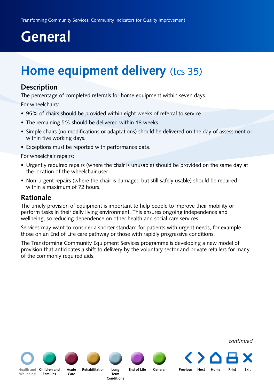## <span id="page-59-0"></span>**Home equipment delivery** (tcs 35)

#### **Description**

The percentage of completed referrals for home equipment within seven days.

For wheelchairs:

- 95% of chairs should be provided within eight weeks of referral to service.
- The remaining 5% should be delivered within 18 weeks.
- Simple chairs (no modifications or adaptations) should be delivered on the day of assessment or within five working days.
- Exceptions must be reported with performance data.

For wheelchair repairs:

- Urgently required repairs (where the chair is unusable) should be provided on the same day at the location of the wheelchair user.
- Non-urgent repairs (where the chair is damaged but still safely usable) should be repaired within a maximum of 72 hours.

#### **Rationale**

The timely provision of equipment is important to help people to improve their mobility or perform tasks in their daily living environment. This ensures ongoing independence and wellbeing, so reducing dependence on other health and social care services.

Services may want to consider a shorter standard for patients with urgent needs, for example those on an End of Life care pathway or those with rapidly progressive conditions.

The Transforming Community Equipment Services programme is developing a new model of provision that anticipates a shift to delivery by the voluntary sector and private retailers for many of the commonly required aids.

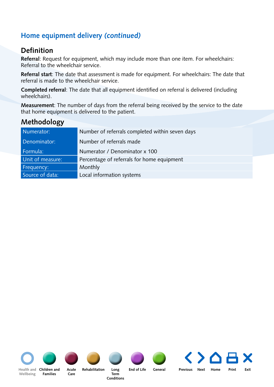### **Home equipment delivery** *(continued)*

#### **Definition**

**Referral**: Request for equipment, which may include more than one item. For wheelchairs: Referral to the wheelchair service.

**Referral start**: The date that assessment is made for equipment. For wheelchairs: The date that referral is made to the wheelchair service.

**Completed referral**: The date that all equipment identified on referral is delivered (including wheelchairs).

**Measurement**: The number of days from the referral being received by the service to the date that home equipment is delivered to the patient.

#### **Methodology**

| Numerator:       | Number of referrals completed within seven days |
|------------------|-------------------------------------------------|
| Denominator:     | Number of referrals made                        |
| Formula:         | Numerator / Denominator x 100                   |
| Unit of measure: | Percentage of referrals for home equipment      |
| Frequency:       | Monthly                                         |
| Source of data:  | Local information systems                       |





**Families**



**Care**

**Long End of Life General Acute Rehabilitation**

**Term Conditions**



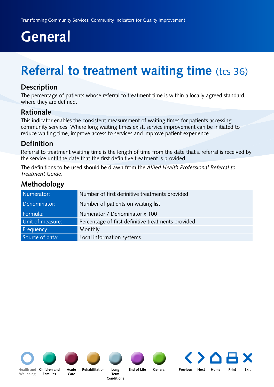## <span id="page-61-0"></span>**Referral to treatment waiting time** (tcs 36)

#### **Description**

The percentage of patients whose referral to treatment time is within a locally agreed standard, where they are defined.

#### **Rationale**

This indicator enables the consistent measurement of waiting times for patients accessing community services. Where long waiting times exist, service improvement can be initiated to reduce waiting time, improve access to services and improve patient experience.

#### **Definition**

Referral to treatment waiting time is the length of time from the date that a referral is received by the service until the date that the first definitive treatment is provided.

[The definitions to be used should be drawn from the](http://www.dh.gov.uk/en/Publicationsandstatistics/Publications/PublicationsPolicyAndGuidance/DH_114871) *Allied Health Professional Referral to Treatment Guide*.

#### **Methodology**

| Numerator:       | Number of first definitive treatments provided     |
|------------------|----------------------------------------------------|
| Denominator:     | Number of patients on waiting list                 |
| Formula:         | Numerator / Denominator x 100                      |
| Unit of measure: | Percentage of first definitive treatments provided |
| Frequency:       | Monthly                                            |
| Source of data:  | Local information systems                          |









**Long End of Life General**

[Health and](#page-5-0) Children and Acute Rehabilitation Long End of Life General Previous Next [Home](#page-4-0) Print Exit

**Wellbeing**

**Acute Rehabilitation Families**

**Care**

**Term Conditions**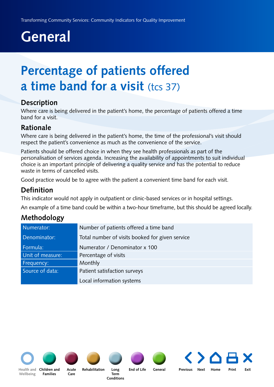## <span id="page-62-0"></span>**Percentage of patients offered a time band for a visit (tcs 37)**

#### **Description**

Where care is being delivered in the patient's home, the percentage of patients offered a time band for a visit.

#### **Rationale**

Where care is being delivered in the patient's home, the time of the professional's visit should respect the patient's convenience as much as the convenience of the service.

Patients should be offered choice in when they see health professionals as part of the personalisation of services agenda. Increasing the availability of appointments to suit individual choice is an important principle of delivering a quality service and has the potential to reduce waste in terms of cancelled visits.

Good practice would be to agree with the patient a convenient time band for each visit.

#### **Definition**

This indicator would not apply in outpatient or clinic-based services or in hospital settings.

An example of a time band could be within a two-hour timeframe, but this should be agreed locally.

#### **Methodology**

| Numerator:       | Number of patients offered a time band          |
|------------------|-------------------------------------------------|
| Denominator:     | Total number of visits booked for given service |
| Formula:         | Numerator / Denominator x 100                   |
| Unit of measure: | Percentage of visits                            |
| Frequency:       | Monthly                                         |
| Source of data:  | Patient satisfaction surveys                    |
|                  | Local information systems                       |

**Wellbeing**



**Families**



**Care**

**Long End of Life General Acute Rehabilitation**

> **Term Conditions**



[Health and](#page-5-0) Children and Acute Rehabilitation Long End of Life General Previous Next [Home](#page-4-0) Print Exit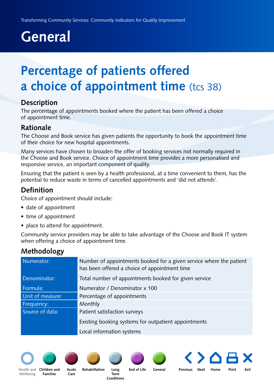## <span id="page-63-0"></span>**Percentage of patients offered a choice of appointment time** (tcs 38)

#### **Description**

The percentage of appointments booked where the patient has been offered a choice of appointment time.

#### **Rationale**

The Choose and Book service has given patients the opportunity to book the appointment time of their choice for new hospital appointments.

Many services have chosen to broaden the offer of booking services not normally required in the Choose and Book service. Choice of appointment time provides a more personalised and responsive service, an important component of quality.

Ensuring that the patient is seen by a health professional, at a time convenient to them, has the potential to reduce waste in terms of cancelled appointments and 'did not attends'.

### **Definition**

Choice of appointment should include:

- date of appointment
- time of appointment
- place to attend for appointment.

Community service providers may be able to take advantage of the Choose and Book IT system when offering a choice of appointment time.

### **Methodology**

| Numerator:       | Number of appointments booked for a given service where the patient<br>has been offered a choice of appointment time |
|------------------|----------------------------------------------------------------------------------------------------------------------|
| Denominator:     | Total number of appointments booked for given service                                                                |
| Formula:         | Numerator / Denominator x 100                                                                                        |
| Unit of measure: | Percentage of appointments                                                                                           |
| Frequency:       | Monthly                                                                                                              |
| Source of data:  | Patient satisfaction surveys                                                                                         |
|                  | Existing booking systems for outpatient appointments                                                                 |
|                  | Local information systems                                                                                            |



**Wellbeing**



**Families**



**Care**

[Health and](#page-5-0) Children and Acute Rehabilitation Long End of Life General Previous Next [Home](#page-4-0) Print Exit **Acute Rehabilitation**

**Term Conditions**

**Long End of Life General**

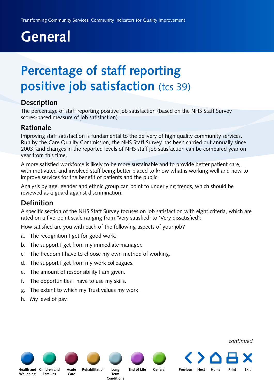## <span id="page-64-0"></span>**Percentage of staff reporting positive job satisfaction** (tcs 39)

#### **Description**

The percentage of staff reporting positive job satisfaction (based on the NHS Staff Survey scores-based measure of job satisfaction).

#### **Rationale**

Improving staff satisfaction is fundamental to the delivery of high quality community services. Run by the Care Quality Commission, the NHS Staff Survey has been carried out annually since 2003, and changes in the reported levels of NHS staff job satisfaction can be compared year on year from this time.

A more satisfied workforce is likely to be more sustainable and to provide better patient care, with motivated and involved staff being better placed to know what is working well and how to improve services for the benefit of patients and the public.

Analysis by age, gender and ethnic group can point to underlying trends, which should be reviewed as a guard against discrimination.

#### **Definition**

A specific section of the NHS Staff Survey focuses on job satisfaction with eight criteria, which are rated on a five-point scale ranging from 'Very satisfied' to 'Very dissatisfied':

How satisfied are you with each of the following aspects of your job?

- a. The recognition I get for good work.
- b. The support I get from my immediate manager.
- c. The freedom I have to choose my own method of working.
- d. The support I get from my work colleagues.
- e. The amount of responsibility I am given.
- f. The opportunities I have to use my skills.
- g. The extent to which my Trust values my work.
- h. My level of pay.

#### *continued*

**Wellbeing**

**[Children and](#page-13-0)  [Health and](#page-5-0)  Families**

**[Acute](#page-30-0) [Rehabilitation](#page-38-0) Care**

**Term [Conditions](#page-45-0)**

**Long [End of Life](#page-50-0) [General](#page-54-0) Previous Next [Home](#page-4-0) Print Exit**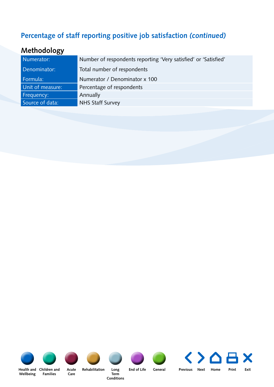### **Percentage of staff reporting positive job satisfaction** *(continued)*

### **Methodology**

| Numerator:       | Number of respondents reporting 'Very satisfied' or 'Satisfied' |
|------------------|-----------------------------------------------------------------|
| Denominator:     | Total number of respondents                                     |
| Formula:         | Numerator / Denominator x 100                                   |
| Unit of measure: | Percentage of respondents                                       |
| Frequency:       | Annually                                                        |
| Source of data:  | <b>NHS Staff Survey</b>                                         |
|                  |                                                                 |







**Care**

**Rehabilitation** 

**Term Conditions**



X **[Health and](#page-5-0) [General](#page-54-0) Previous Next [Home](#page-4-0) Print Exit**

**Wellbeing** Health and Children and

**Families**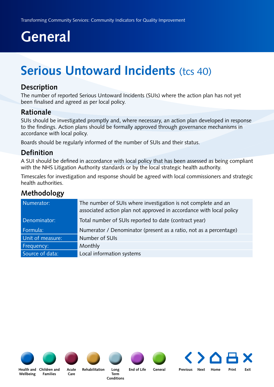## <span id="page-66-0"></span>**Serious Untoward Incidents (tcs 40)**

#### **Description**

The number of reported Serious Untoward Incidents (SUIs) where the action plan has not yet been finalised and agreed as per local policy.

#### **Rationale**

SUIs should be investigated promptly and, where necessary, an action plan developed in response to the findings. Action plans should be formally approved through governance mechanisms in accordance with local policy.

Boards should be regularly informed of the number of SUIs and their status.

#### **Definition**

A SUI should be defined in accordance with local policy that has been assessed as being compliant with the NHS Litigation Authority standards or by the local strategic health authority.

Timescales for investigation and response should be agreed with local commissioners and strategic health authorities.

#### **Methodology**

| Numerator:       | The number of SUIs where investigation is not complete and an<br>associated action plan not approved in accordance with local policy |
|------------------|--------------------------------------------------------------------------------------------------------------------------------------|
| Denominator:     | Total number of SUIs reported to date (contract year)                                                                                |
| Formula:         | Numerator / Denominator (present as a ratio, not as a percentage)                                                                    |
| Unit of measure: | Number of SUIs                                                                                                                       |
| Frequency:       | Monthly                                                                                                                              |
| Source of data:  | Local information systems                                                                                                            |











**Long [End of Life](#page-50-0) [General](#page-54-0) Previous Next [Home](#page-4-0) Print Exit**

**[Children and](#page-13-0)  [Health and](#page-5-0)  Wellbeing**

**Families**

**Care**

**Term [Conditions](#page-45-0)**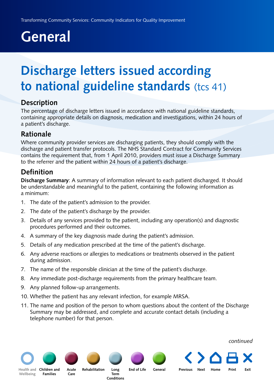## <span id="page-67-0"></span>**Discharge letters issued according to national guideline standards** (tcs 41)

#### **Description**

The percentage of discharge letters issued in accordance with national guideline standards, containing appropriate details on diagnosis, medication and investigations, within 24 hours of a patient's discharge.

#### **Rationale**

Where community provider services are discharging patients, they should comply with the discharge and patient transfer protocols. The NHS Standard Contract for Community Services contains the requirement that, from 1 April 2010, providers must issue a Discharge Summary to the referrer and the patient within 24 hours of a patient's discharge.

#### **Definition**

**Discharge Summary**: A summary of information relevant to each patient discharged. It should be understandable and meaningful to the patient, containing the following information as a minimum:

- 1. The date of the patient's admission to the provider.
- 2. The date of the patient's discharge by the provider.
- 3. Details of any services provided to the patient, including any operation(s) and diagnostic procedures performed and their outcomes.
- 4. A summary of the key diagnosis made during the patient's admission.
- 5. Details of any medication prescribed at the time of the patient's discharge.
- 6. Any adverse reactions or allergies to medications or treatments observed in the patient during admission.
- 7. The name of the responsible clinician at the time of the patient's discharge.
- 8. Any immediate post-discharge requirements from the primary healthcare team.
- 9. Any planned follow-up arrangements.
- 10. Whether the patient has any relevant infection, for example MRSA.
- 11. The name and position of the person to whom questions about the content of the Discharge Summary may be addressed, and complete and accurate contact details (including a telephone number) for that person.

*continued*

**Wellbeing**

**Families**

**Acute Rehabilitation Care**

**Term Conditions**

**Long End of Life General**

[Health and](#page-5-0) Children and Acute Rehabilitation Long End of Life General Previous Next [Home](#page-4-0) Print Exit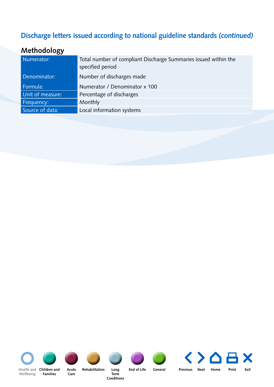### **Discharge letters issued according to national guideline standards** *(continued)*

### **Methodology**

| Numerator:       | Total number of compliant Discharge Summaries issued within the<br>specified period |
|------------------|-------------------------------------------------------------------------------------|
| Denominator:     | Number of discharges made                                                           |
| Formula:         | Numerator / Denominator x 100                                                       |
| Unit of measure: | Percentage of discharges                                                            |
| Frequency:       | Monthly                                                                             |
| Source of data:  | Local information systems                                                           |
|                  |                                                                                     |







**Term Rehabilitation** 

**Conditions**



X **[Health and](#page-5-0) Previous Next [Home](#page-4-0) Print Exit**

**Care Families**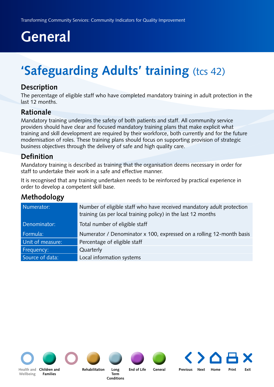# <span id="page-69-0"></span>**'Safeguarding Adults' training (tcs 42)**

#### **Description**

The percentage of eligible staff who have completed mandatory training in adult protection in the last 12 months.

#### **Rationale**

Mandatory training underpins the safety of both patients and staff. All community service providers should have clear and focused mandatory training plans that make explicit what training and skill development are required by their workforce, both currently and for the future modernisation of roles. These training plans should focus on supporting provision of strategic business objectives through the delivery of safe and high quality care.

#### **Definition**

Mandatory training is described as training that the organisation deems necessary in order for staff to undertake their work in a safe and effective manner.

It is recognised that any training undertaken needs to be reinforced by practical experience in order to develop a competent skill base.

### **Methodology**

| Numerator:       | Number of eligible staff who have received mandatory adult protection<br>training (as per local training policy) in the last 12 months |
|------------------|----------------------------------------------------------------------------------------------------------------------------------------|
| Denominator:     | Total number of eligible staff                                                                                                         |
| Formula:         | Numerator / Denominator x 100, expressed on a rolling 12-month basis                                                                   |
| Unit of measure: | Percentage of eligible staff                                                                                                           |
| Frequency:       | Quarterly                                                                                                                              |
| Source of data:  | Local information systems                                                                                                              |



**Wellbeing**



**Families**



**Children and Rehabilitation**

**Term Conditions**



**Long End of Life General**

**[Health and](#page-5-0) Previous Next [Home](#page-4-0) Print Exit**